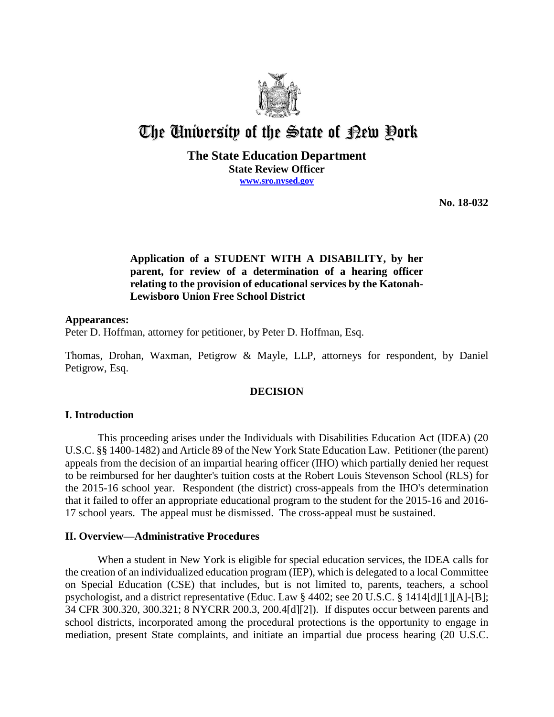

# The University of the State of Pew Pork

# **The State Education Department State Review Officer www.sro.nysed.gov**

**No. 18-032** 

# **Application of a STUDENT WITH A DISABILITY, by her parent, for review of a determination of a hearing officer relating to the provision of educational services by the Katonah-Lewisboro Union Free School District**

# **Appearances:**

Peter D. Hoffman, attorney for petitioner, by Peter D. Hoffman, Esq.

Thomas, Drohan, Waxman, Petigrow & Mayle, LLP, attorneys for respondent, by Daniel Petigrow, Esq.

# **DECISION**

## **I. Introduction**

This proceeding arises under the Individuals with Disabilities Education Act (IDEA) (20 U.S.C. §§ 1400-1482) and Article 89 of the New York State Education Law. Petitioner (the parent) appeals from the decision of an impartial hearing officer (IHO) which partially denied her request to be reimbursed for her daughter's tuition costs at the Robert Louis Stevenson School (RLS) for the 2015-16 school year. Respondent (the district) cross-appeals from the IHO's determination that it failed to offer an appropriate educational program to the student for the 2015-16 and 2016- 17 school years. The appeal must be dismissed. The cross-appeal must be sustained.

## **II. Overview—Administrative Procedures**

When a student in New York is eligible for special education services, the IDEA calls for the creation of an individualized education program (IEP), which is delegated to a local Committee on Special Education (CSE) that includes, but is not limited to, parents, teachers, a school psychologist, and a district representative (Educ. Law § 4402; see 20 U.S.C. § 1414[d][1][A]-[B]; 34 CFR 300.320, 300.321; 8 NYCRR 200.3, 200.4[d][2]). If disputes occur between parents and school districts, incorporated among the procedural protections is the opportunity to engage in mediation, present State complaints, and initiate an impartial due process hearing (20 U.S.C.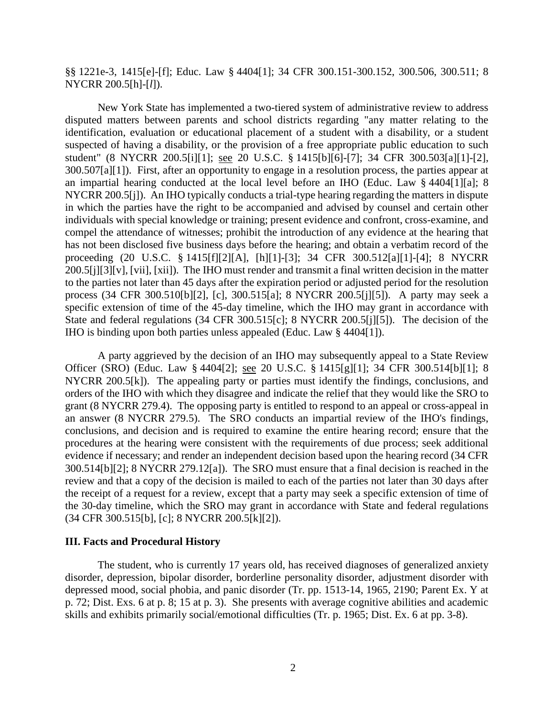§§ 1221e-3, 1415[e]-[f]; Educ. Law § 4404[1]; 34 CFR 300.151-300.152, 300.506, 300.511; 8 NYCRR 200.5[h]-[*l*]).

New York State has implemented a two-tiered system of administrative review to address disputed matters between parents and school districts regarding "any matter relating to the identification, evaluation or educational placement of a student with a disability, or a student suspected of having a disability, or the provision of a free appropriate public education to such student" (8 NYCRR 200.5[i][1]; see 20 U.S.C. § 1415[b][6]-[7]; 34 CFR 300.503[a][1]-[2], 300.507[a][1]). First, after an opportunity to engage in a resolution process, the parties appear at an impartial hearing conducted at the local level before an IHO (Educ. Law § 4404[1][a]; 8 NYCRR 200.5[j]). An IHO typically conducts a trial-type hearing regarding the matters in dispute in which the parties have the right to be accompanied and advised by counsel and certain other individuals with special knowledge or training; present evidence and confront, cross-examine, and compel the attendance of witnesses; prohibit the introduction of any evidence at the hearing that has not been disclosed five business days before the hearing; and obtain a verbatim record of the proceeding (20 U.S.C. § 1415[f][2][A], [h][1]-[3]; 34 CFR 300.512[a][1]-[4]; 8 NYCRR 200.5[j][3][v], [vii], [xii]). The IHO must render and transmit a final written decision in the matter to the parties not later than 45 days after the expiration period or adjusted period for the resolution process (34 CFR 300.510[b][2], [c], 300.515[a]; 8 NYCRR 200.5[j][5]). A party may seek a specific extension of time of the 45-day timeline, which the IHO may grant in accordance with State and federal regulations (34 CFR 300.515[c]; 8 NYCRR 200.5[j][5]). The decision of the IHO is binding upon both parties unless appealed (Educ. Law § 4404[1]).

A party aggrieved by the decision of an IHO may subsequently appeal to a State Review Officer (SRO) (Educ. Law § 4404[2]; see 20 U.S.C. § 1415[g][1]; 34 CFR 300.514[b][1]; 8 NYCRR 200.5[k]). The appealing party or parties must identify the findings, conclusions, and orders of the IHO with which they disagree and indicate the relief that they would like the SRO to grant (8 NYCRR 279.4). The opposing party is entitled to respond to an appeal or cross-appeal in an answer (8 NYCRR 279.5). The SRO conducts an impartial review of the IHO's findings, conclusions, and decision and is required to examine the entire hearing record; ensure that the procedures at the hearing were consistent with the requirements of due process; seek additional evidence if necessary; and render an independent decision based upon the hearing record (34 CFR 300.514[b][2]; 8 NYCRR 279.12[a]). The SRO must ensure that a final decision is reached in the review and that a copy of the decision is mailed to each of the parties not later than 30 days after the receipt of a request for a review, except that a party may seek a specific extension of time of the 30-day timeline, which the SRO may grant in accordance with State and federal regulations (34 CFR 300.515[b], [c]; 8 NYCRR 200.5[k][2]).

### **III. Facts and Procedural History**

The student, who is currently 17 years old, has received diagnoses of generalized anxiety disorder, depression, bipolar disorder, borderline personality disorder, adjustment disorder with depressed mood, social phobia, and panic disorder (Tr. pp. 1513-14, 1965, 2190; Parent Ex. Y at p. 72; Dist. Exs. 6 at p. 8; 15 at p. 3). She presents with average cognitive abilities and academic skills and exhibits primarily social/emotional difficulties (Tr. p. 1965; Dist. Ex. 6 at pp. 3-8).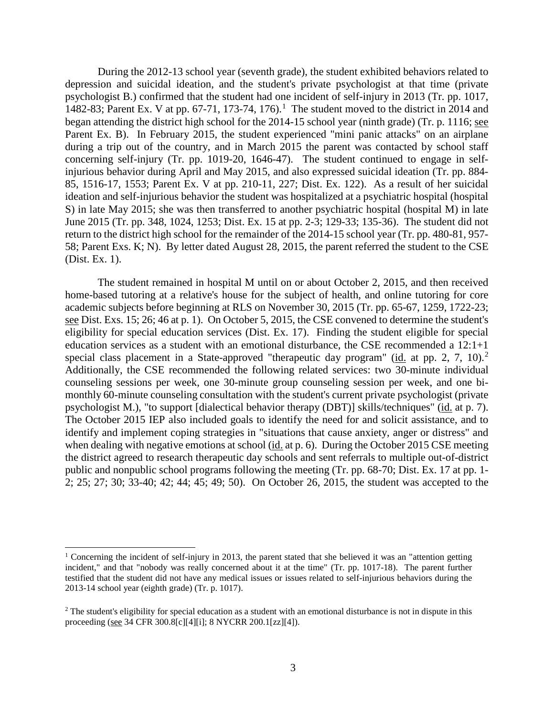During the 2012-13 school year (seventh grade), the student exhibited behaviors related to depression and suicidal ideation, and the student's private psychologist at that time (private psychologist B.) confirmed that the student had one incident of self-injury in 2013 (Tr. pp. 1017, 1482-83; Parent Ex. V at pp. 67-71, 173-74, 176). 1 The student moved to the district in 2014 and began attending the district high school for the 2014-15 school year (ninth grade) (Tr. p. 1116; see Parent Ex. B). In February 2015, the student experienced "mini panic attacks" on an airplane during a trip out of the country, and in March 2015 the parent was contacted by school staff concerning self-injury (Tr. pp. 1019-20, 1646-47). The student continued to engage in selfinjurious behavior during April and May 2015, and also expressed suicidal ideation (Tr. pp. 884- 85, 1516-17, 1553; Parent Ex. V at pp. 210-11, 227; Dist. Ex. 122). As a result of her suicidal ideation and self-injurious behavior the student was hospitalized at a psychiatric hospital (hospital S) in late May 2015; she was then transferred to another psychiatric hospital (hospital M) in late June 2015 (Tr. pp. 348, 1024, 1253; Dist. Ex. 15 at pp. 2-3; 129-33; 135-36). The student did not return to the district high school for the remainder of the 2014-15 school year (Tr. pp. 480-81, 957- 58; Parent Exs. K; N). By letter dated August 28, 2015, the parent referred the student to the CSE (Dist. Ex. 1).

The student remained in hospital M until on or about October 2, 2015, and then received home-based tutoring at a relative's house for the subject of health, and online tutoring for core academic subjects before beginning at RLS on November 30, 2015 (Tr. pp. 65-67, 1259, 1722-23; see Dist. Exs. 15; 26; 46 at p. 1). On October 5, 2015, the CSE convened to determine the student's eligibility for special education services (Dist. Ex. 17). Finding the student eligible for special education services as a student with an emotional disturbance, the CSE recommended a 12:1+1 special class placement in a State-approved "therapeutic day program" ( $\frac{id}{id}$  at pp. 2, 7, 10).<sup>2</sup> Additionally, the CSE recommended the following related services: two 30-minute individual counseling sessions per week, one 30-minute group counseling session per week, and one bimonthly 60-minute counseling consultation with the student's current private psychologist (private psychologist M.), "to support [dialectical behavior therapy (DBT)] skills/techniques" (id. at p. 7). The October 2015 IEP also included goals to identify the need for and solicit assistance, and to identify and implement coping strategies in "situations that cause anxiety, anger or distress" and when dealing with negative emotions at school (id. at p. 6). During the October 2015 CSE meeting the district agreed to research therapeutic day schools and sent referrals to multiple out-of-district public and nonpublic school programs following the meeting (Tr. pp. 68-70; Dist. Ex. 17 at pp. 1- 2; 25; 27; 30; 33-40; 42; 44; 45; 49; 50). On October 26, 2015, the student was accepted to the

<sup>&</sup>lt;sup>1</sup> Concerning the incident of self-injury in 2013, the parent stated that she believed it was an "attention getting incident," and that "nobody was really concerned about it at the time" (Tr. pp. 1017-18). The parent further testified that the student did not have any medical issues or issues related to self-injurious behaviors during the 2013-14 school year (eighth grade) (Tr. p. 1017).

<sup>&</sup>lt;sup>2</sup> The student's eligibility for special education as a student with an emotional disturbance is not in dispute in this proceeding (see 34 CFR 300.8[c][4][i]; 8 NYCRR 200.1[zz][4]).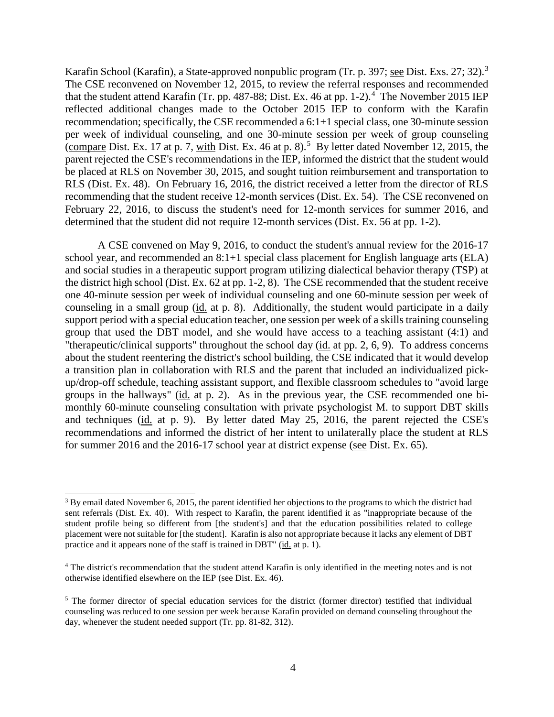Karafin School (Karafin), a State-approved nonpublic program (Tr. p. 397; see Dist. Exs. 27; 32).<sup>3</sup> The CSE reconvened on November 12, 2015, to review the referral responses and recommended that the student attend Karafin (Tr. pp. 487-88; Dist. Ex. 46 at pp. 1-2).<sup>4</sup> The November 2015 IEP reflected additional changes made to the October 2015 IEP to conform with the Karafin recommendation; specifically, the CSE recommended a 6:1+1 special class, one 30-minute session per week of individual counseling, and one 30-minute session per week of group counseling (compare Dist. Ex. 17 at p. 7, with Dist. Ex. 46 at p. 8).<sup>5</sup> By letter dated November 12, 2015, the parent rejected the CSE's recommendations in the IEP, informed the district that the student would be placed at RLS on November 30, 2015, and sought tuition reimbursement and transportation to RLS (Dist. Ex. 48). On February 16, 2016, the district received a letter from the director of RLS recommending that the student receive 12-month services (Dist. Ex. 54). The CSE reconvened on February 22, 2016, to discuss the student's need for 12-month services for summer 2016, and determined that the student did not require 12-month services (Dist. Ex. 56 at pp. 1-2).

A CSE convened on May 9, 2016, to conduct the student's annual review for the 2016-17 school year, and recommended an 8:1+1 special class placement for English language arts (ELA) and social studies in a therapeutic support program utilizing dialectical behavior therapy (TSP) at the district high school (Dist. Ex. 62 at pp. 1-2, 8). The CSE recommended that the student receive one 40-minute session per week of individual counseling and one 60-minute session per week of counseling in a small group (id. at p. 8). Additionally, the student would participate in a daily support period with a special education teacher, one session per week of a skills training counseling group that used the DBT model, and she would have access to a teaching assistant (4:1) and "therapeutic/clinical supports" throughout the school day (id. at pp. 2, 6, 9). To address concerns about the student reentering the district's school building, the CSE indicated that it would develop a transition plan in collaboration with RLS and the parent that included an individualized pickup/drop-off schedule, teaching assistant support, and flexible classroom schedules to "avoid large groups in the hallways" (id. at p. 2). As in the previous year, the CSE recommended one bimonthly 60-minute counseling consultation with private psychologist M. to support DBT skills and techniques (id. at p. 9). By letter dated May 25, 2016, the parent rejected the CSE's recommendations and informed the district of her intent to unilaterally place the student at RLS for summer 2016 and the 2016-17 school year at district expense (see Dist. Ex. 65).

<sup>&</sup>lt;sup>3</sup> By email dated November 6, 2015, the parent identified her objections to the programs to which the district had sent referrals (Dist. Ex. 40). With respect to Karafin, the parent identified it as "inappropriate because of the student profile being so different from [the student's] and that the education possibilities related to college placement were not suitable for [the student]. Karafin is also not appropriate because it lacks any element of DBT practice and it appears none of the staff is trained in DBT" (id. at p. 1).

<sup>4</sup> The district's recommendation that the student attend Karafin is only identified in the meeting notes and is not otherwise identified elsewhere on the IEP (see Dist. Ex. 46).

<sup>&</sup>lt;sup>5</sup> The former director of special education services for the district (former director) testified that individual counseling was reduced to one session per week because Karafin provided on demand counseling throughout the day, whenever the student needed support (Tr. pp. 81-82, 312).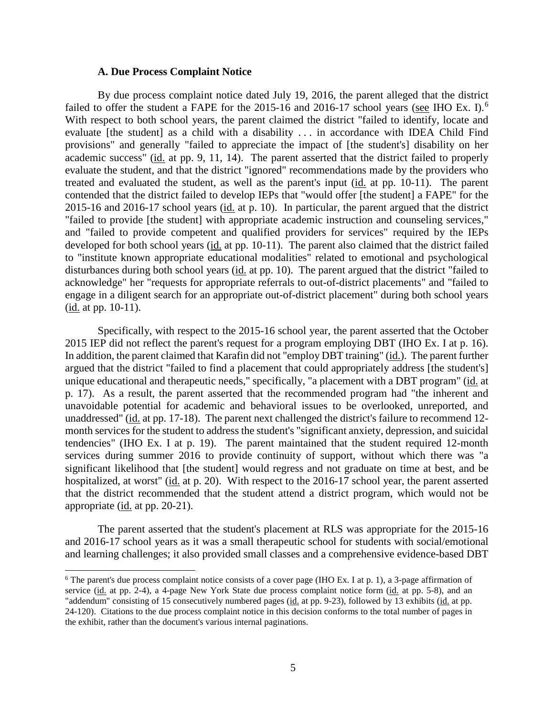### **A. Due Process Complaint Notice**

By due process complaint notice dated July 19, 2016, the parent alleged that the district failed to offer the student a FAPE for the 2015-16 and 2016-17 school years (see IHO Ex. I).<sup>6</sup> With respect to both school years, the parent claimed the district "failed to identify, locate and evaluate [the student] as a child with a disability . . . in accordance with IDEA Child Find provisions" and generally "failed to appreciate the impact of [the student's] disability on her academic success" (id. at pp. 9, 11, 14). The parent asserted that the district failed to properly evaluate the student, and that the district "ignored" recommendations made by the providers who treated and evaluated the student, as well as the parent's input (id. at pp. 10-11). The parent contended that the district failed to develop IEPs that "would offer [the student] a FAPE" for the 2015-16 and 2016-17 school years (id. at p. 10). In particular, the parent argued that the district "failed to provide [the student] with appropriate academic instruction and counseling services," and "failed to provide competent and qualified providers for services" required by the IEPs developed for both school years (id. at pp. 10-11). The parent also claimed that the district failed to "institute known appropriate educational modalities" related to emotional and psychological disturbances during both school years (id. at pp. 10). The parent argued that the district "failed to acknowledge" her "requests for appropriate referrals to out-of-district placements" and "failed to engage in a diligent search for an appropriate out-of-district placement" during both school years (id. at pp. 10-11).

Specifically, with respect to the 2015-16 school year, the parent asserted that the October 2015 IEP did not reflect the parent's request for a program employing DBT (IHO Ex. I at p. 16). In addition, the parent claimed that Karafin did not "employ DBT training" (id.). The parent further argued that the district "failed to find a placement that could appropriately address [the student's] unique educational and therapeutic needs," specifically, "a placement with a DBT program" (id. at p. 17). As a result, the parent asserted that the recommended program had "the inherent and unavoidable potential for academic and behavioral issues to be overlooked, unreported, and unaddressed" (id. at pp. 17-18). The parent next challenged the district's failure to recommend 12 month services for the student to address the student's "significant anxiety, depression, and suicidal tendencies" (IHO Ex. I at p. 19). The parent maintained that the student required 12-month services during summer 2016 to provide continuity of support, without which there was "a significant likelihood that [the student] would regress and not graduate on time at best, and be hospitalized, at worst" (id. at p. 20). With respect to the 2016-17 school year, the parent asserted that the district recommended that the student attend a district program, which would not be appropriate (id. at pp. 20-21).

The parent asserted that the student's placement at RLS was appropriate for the 2015-16 and 2016-17 school years as it was a small therapeutic school for students with social/emotional and learning challenges; it also provided small classes and a comprehensive evidence-based DBT

 $6$  The parent's due process complaint notice consists of a cover page (IHO Ex. I at p. 1), a 3-page affirmation of service (id. at pp. 2-4), a 4-page New York State due process complaint notice form (id. at pp. 5-8), and an "addendum" consisting of 15 consecutively numbered pages (id. at pp. 9-23), followed by 13 exhibits (id. at pp. 24-120). Citations to the due process complaint notice in this decision conforms to the total number of pages in the exhibit, rather than the document's various internal paginations.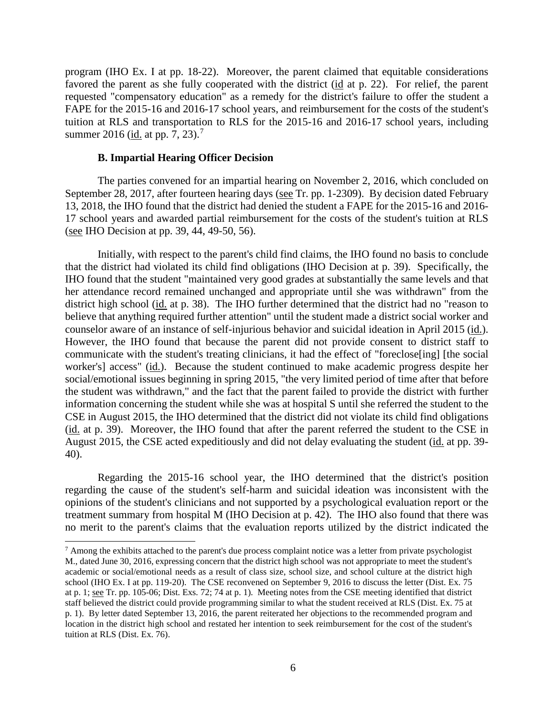program (IHO Ex. I at pp. 18-22). Moreover, the parent claimed that equitable considerations favored the parent as she fully cooperated with the district (id at p. 22). For relief, the parent requested "compensatory education" as a remedy for the district's failure to offer the student a FAPE for the 2015-16 and 2016-17 school years, and reimbursement for the costs of the student's tuition at RLS and transportation to RLS for the 2015-16 and 2016-17 school years, including summer 2016 (id. at pp. 7, 23).<sup>7</sup>

#### **B. Impartial Hearing Officer Decision**

The parties convened for an impartial hearing on November 2, 2016, which concluded on September 28, 2017, after fourteen hearing days (see Tr. pp. 1-2309). By decision dated February 13, 2018, the IHO found that the district had denied the student a FAPE for the 2015-16 and 2016- 17 school years and awarded partial reimbursement for the costs of the student's tuition at RLS (see IHO Decision at pp. 39, 44, 49-50, 56).

Initially, with respect to the parent's child find claims, the IHO found no basis to conclude that the district had violated its child find obligations (IHO Decision at p. 39). Specifically, the IHO found that the student "maintained very good grades at substantially the same levels and that her attendance record remained unchanged and appropriate until she was withdrawn" from the district high school (id. at p. 38). The IHO further determined that the district had no "reason to believe that anything required further attention" until the student made a district social worker and counselor aware of an instance of self-injurious behavior and suicidal ideation in April 2015 (id.). However, the IHO found that because the parent did not provide consent to district staff to communicate with the student's treating clinicians, it had the effect of "foreclose[ing] [the social worker's] access" (id.). Because the student continued to make academic progress despite her social/emotional issues beginning in spring 2015, "the very limited period of time after that before the student was withdrawn," and the fact that the parent failed to provide the district with further information concerning the student while she was at hospital S until she referred the student to the CSE in August 2015, the IHO determined that the district did not violate its child find obligations (id. at p. 39). Moreover, the IHO found that after the parent referred the student to the CSE in August 2015, the CSE acted expeditiously and did not delay evaluating the student (id. at pp. 39- 40).

Regarding the 2015-16 school year, the IHO determined that the district's position regarding the cause of the student's self-harm and suicidal ideation was inconsistent with the opinions of the student's clinicians and not supported by a psychological evaluation report or the treatment summary from hospital M (IHO Decision at p. 42). The IHO also found that there was no merit to the parent's claims that the evaluation reports utilized by the district indicated the

 $<sup>7</sup>$  Among the exhibits attached to the parent's due process complaint notice was a letter from private psychologist</sup> M., dated June 30, 2016, expressing concern that the district high school was not appropriate to meet the student's academic or social/emotional needs as a result of class size, school size, and school culture at the district high school (IHO Ex. I at pp. 119-20). The CSE reconvened on September 9, 2016 to discuss the letter (Dist. Ex. 75 at p. 1; see Tr. pp. 105-06; Dist. Exs. 72; 74 at p. 1). Meeting notes from the CSE meeting identified that district staff believed the district could provide programming similar to what the student received at RLS (Dist. Ex. 75 at p. 1). By letter dated September 13, 2016, the parent reiterated her objections to the recommended program and location in the district high school and restated her intention to seek reimbursement for the cost of the student's tuition at RLS (Dist. Ex. 76).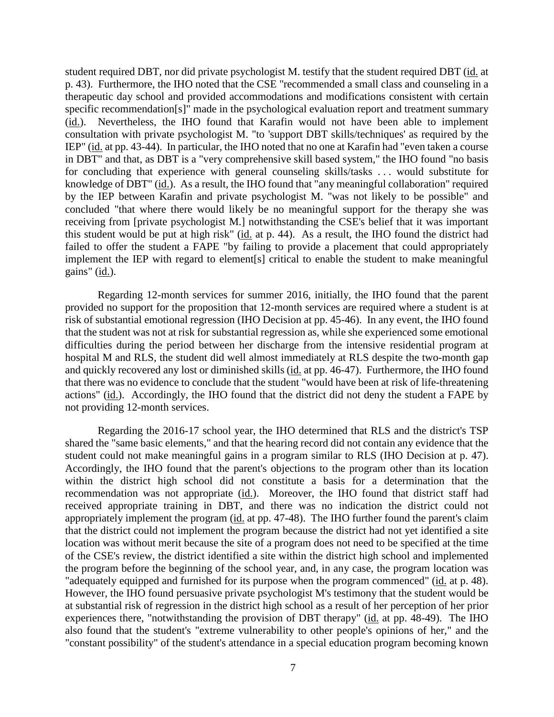student required DBT, nor did private psychologist M. testify that the student required DBT (id. at p. 43). Furthermore, the IHO noted that the CSE "recommended a small class and counseling in a therapeutic day school and provided accommodations and modifications consistent with certain specific recommendation[s]" made in the psychological evaluation report and treatment summary (id.). Nevertheless, the IHO found that Karafin would not have been able to implement consultation with private psychologist M. "to 'support DBT skills/techniques' as required by the IEP" (id. at pp. 43-44). In particular, the IHO noted that no one at Karafin had "even taken a course in DBT" and that, as DBT is a "very comprehensive skill based system," the IHO found "no basis for concluding that experience with general counseling skills/tasks . . . would substitute for knowledge of DBT" (id.). As a result, the IHO found that "any meaningful collaboration" required by the IEP between Karafin and private psychologist M. "was not likely to be possible" and concluded "that where there would likely be no meaningful support for the therapy she was receiving from [private psychologist M.] notwithstanding the CSE's belief that it was important this student would be put at high risk" (id. at p. 44). As a result, the IHO found the district had failed to offer the student a FAPE "by failing to provide a placement that could appropriately implement the IEP with regard to element[s] critical to enable the student to make meaningful gains" (id.).

Regarding 12-month services for summer 2016, initially, the IHO found that the parent provided no support for the proposition that 12-month services are required where a student is at risk of substantial emotional regression (IHO Decision at pp. 45-46). In any event, the IHO found that the student was not at risk for substantial regression as, while she experienced some emotional difficulties during the period between her discharge from the intensive residential program at hospital M and RLS, the student did well almost immediately at RLS despite the two-month gap and quickly recovered any lost or diminished skills (id. at pp. 46-47). Furthermore, the IHO found that there was no evidence to conclude that the student "would have been at risk of life-threatening actions" (id.). Accordingly, the IHO found that the district did not deny the student a FAPE by not providing 12-month services.

Regarding the 2016-17 school year, the IHO determined that RLS and the district's TSP shared the "same basic elements," and that the hearing record did not contain any evidence that the student could not make meaningful gains in a program similar to RLS (IHO Decision at p. 47). Accordingly, the IHO found that the parent's objections to the program other than its location within the district high school did not constitute a basis for a determination that the recommendation was not appropriate (id.). Moreover, the IHO found that district staff had received appropriate training in DBT, and there was no indication the district could not appropriately implement the program (id. at pp. 47-48). The IHO further found the parent's claim that the district could not implement the program because the district had not yet identified a site location was without merit because the site of a program does not need to be specified at the time of the CSE's review, the district identified a site within the district high school and implemented the program before the beginning of the school year, and, in any case, the program location was "adequately equipped and furnished for its purpose when the program commenced" (id. at p. 48). However, the IHO found persuasive private psychologist M's testimony that the student would be at substantial risk of regression in the district high school as a result of her perception of her prior experiences there, "notwithstanding the provision of DBT therapy" (id. at pp. 48-49). The IHO also found that the student's "extreme vulnerability to other people's opinions of her," and the "constant possibility" of the student's attendance in a special education program becoming known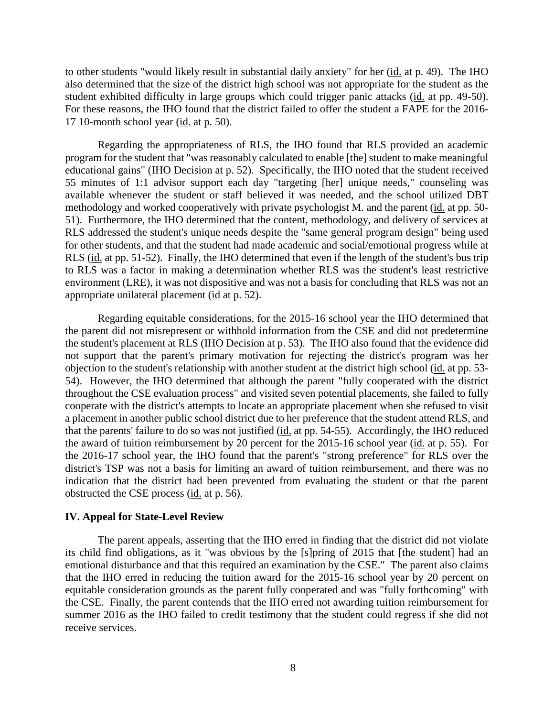to other students "would likely result in substantial daily anxiety" for her (id. at p. 49). The IHO also determined that the size of the district high school was not appropriate for the student as the student exhibited difficulty in large groups which could trigger panic attacks (id. at pp. 49-50). For these reasons, the IHO found that the district failed to offer the student a FAPE for the 2016- 17 10-month school year (id. at p. 50).

Regarding the appropriateness of RLS, the IHO found that RLS provided an academic program for the student that "was reasonably calculated to enable [the] student to make meaningful educational gains" (IHO Decision at p. 52). Specifically, the IHO noted that the student received 55 minutes of 1:1 advisor support each day "targeting [her] unique needs," counseling was available whenever the student or staff believed it was needed, and the school utilized DBT methodology and worked cooperatively with private psychologist M. and the parent (id. at pp. 50- 51). Furthermore, the IHO determined that the content, methodology, and delivery of services at RLS addressed the student's unique needs despite the "same general program design" being used for other students, and that the student had made academic and social/emotional progress while at RLS (id. at pp. 51-52). Finally, the IHO determined that even if the length of the student's bus trip to RLS was a factor in making a determination whether RLS was the student's least restrictive environment (LRE), it was not dispositive and was not a basis for concluding that RLS was not an appropriate unilateral placement (id at p. 52).

Regarding equitable considerations, for the 2015-16 school year the IHO determined that the parent did not misrepresent or withhold information from the CSE and did not predetermine the student's placement at RLS (IHO Decision at p. 53). The IHO also found that the evidence did not support that the parent's primary motivation for rejecting the district's program was her objection to the student's relationship with another student at the district high school (id. at pp. 53- 54). However, the IHO determined that although the parent "fully cooperated with the district throughout the CSE evaluation process" and visited seven potential placements, she failed to fully cooperate with the district's attempts to locate an appropriate placement when she refused to visit a placement in another public school district due to her preference that the student attend RLS, and that the parents' failure to do so was not justified (id. at pp. 54-55). Accordingly, the IHO reduced the award of tuition reimbursement by 20 percent for the 2015-16 school year (id. at p. 55). For the 2016-17 school year, the IHO found that the parent's "strong preference" for RLS over the district's TSP was not a basis for limiting an award of tuition reimbursement, and there was no indication that the district had been prevented from evaluating the student or that the parent obstructed the CSE process (id. at p. 56).

### **IV. Appeal for State-Level Review**

The parent appeals, asserting that the IHO erred in finding that the district did not violate its child find obligations, as it "was obvious by the [s]pring of 2015 that [the student] had an emotional disturbance and that this required an examination by the CSE." The parent also claims that the IHO erred in reducing the tuition award for the 2015-16 school year by 20 percent on equitable consideration grounds as the parent fully cooperated and was "fully forthcoming" with the CSE. Finally, the parent contends that the IHO erred not awarding tuition reimbursement for summer 2016 as the IHO failed to credit testimony that the student could regress if she did not receive services.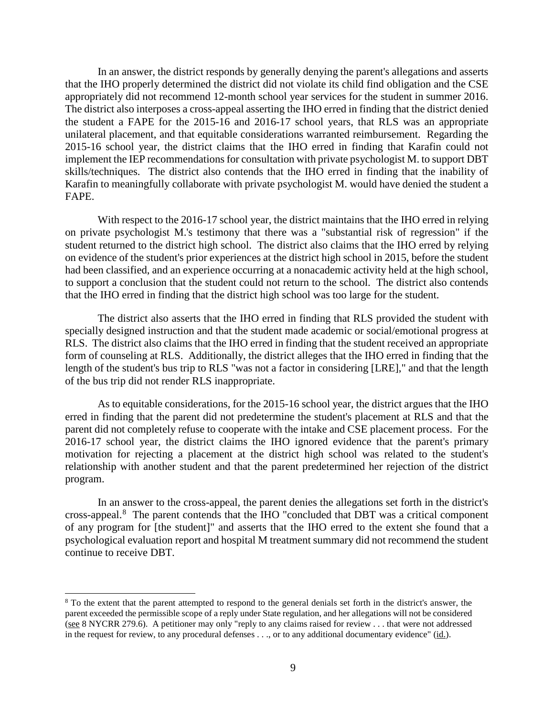In an answer, the district responds by generally denying the parent's allegations and asserts that the IHO properly determined the district did not violate its child find obligation and the CSE appropriately did not recommend 12-month school year services for the student in summer 2016. The district also interposes a cross-appeal asserting the IHO erred in finding that the district denied the student a FAPE for the 2015-16 and 2016-17 school years, that RLS was an appropriate unilateral placement, and that equitable considerations warranted reimbursement. Regarding the 2015-16 school year, the district claims that the IHO erred in finding that Karafin could not implement the IEP recommendations for consultation with private psychologist M. to support DBT skills/techniques. The district also contends that the IHO erred in finding that the inability of Karafin to meaningfully collaborate with private psychologist M. would have denied the student a FAPE.

With respect to the 2016-17 school year, the district maintains that the IHO erred in relying on private psychologist M.'s testimony that there was a "substantial risk of regression" if the student returned to the district high school. The district also claims that the IHO erred by relying on evidence of the student's prior experiences at the district high school in 2015, before the student had been classified, and an experience occurring at a nonacademic activity held at the high school, to support a conclusion that the student could not return to the school. The district also contends that the IHO erred in finding that the district high school was too large for the student.

The district also asserts that the IHO erred in finding that RLS provided the student with specially designed instruction and that the student made academic or social/emotional progress at RLS. The district also claims that the IHO erred in finding that the student received an appropriate form of counseling at RLS. Additionally, the district alleges that the IHO erred in finding that the length of the student's bus trip to RLS "was not a factor in considering [LRE]," and that the length of the bus trip did not render RLS inappropriate.

As to equitable considerations, for the 2015-16 school year, the district argues that the IHO erred in finding that the parent did not predetermine the student's placement at RLS and that the parent did not completely refuse to cooperate with the intake and CSE placement process. For the 2016-17 school year, the district claims the IHO ignored evidence that the parent's primary motivation for rejecting a placement at the district high school was related to the student's relationship with another student and that the parent predetermined her rejection of the district program.

In an answer to the cross-appeal, the parent denies the allegations set forth in the district's cross-appeal.<sup>8</sup> The parent contends that the IHO "concluded that DBT was a critical component of any program for [the student]" and asserts that the IHO erred to the extent she found that a psychological evaluation report and hospital M treatment summary did not recommend the student continue to receive DBT.

 <sup>8</sup> To the extent that the parent attempted to respond to the general denials set forth in the district's answer, the parent exceeded the permissible scope of a reply under State regulation, and her allegations will not be considered (see 8 NYCRR 279.6). A petitioner may only "reply to any claims raised for review . . . that were not addressed in the request for review, to any procedural defenses . . ., or to any additional documentary evidence" (id.).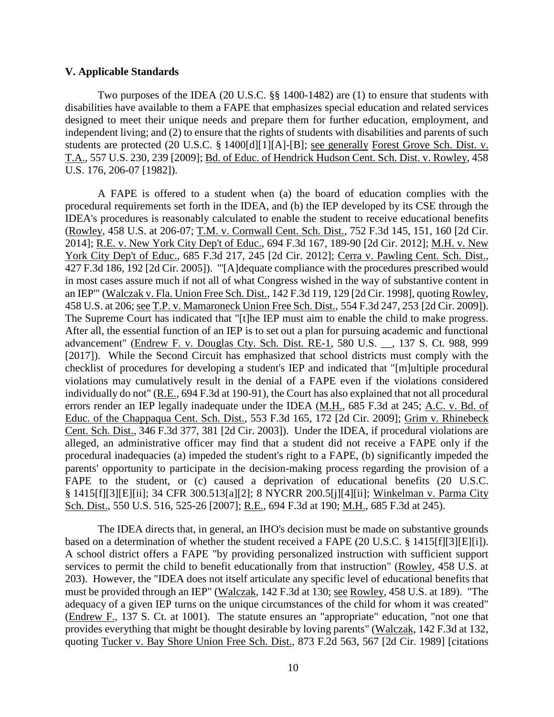## **V. Applicable Standards**

Two purposes of the IDEA (20 U.S.C. §§ 1400-1482) are (1) to ensure that students with disabilities have available to them a FAPE that emphasizes special education and related services designed to meet their unique needs and prepare them for further education, employment, and independent living; and (2) to ensure that the rights of students with disabilities and parents of such students are protected (20 U.S.C. § 1400[d][1][A]-[B]; see generally Forest Grove Sch. Dist. v. T.A., 557 U.S. 230, 239 [2009]; Bd. of Educ. of Hendrick Hudson Cent. Sch. Dist. v. Rowley, 458 U.S. 176, 206-07 [1982]).

A FAPE is offered to a student when (a) the board of education complies with the procedural requirements set forth in the IDEA, and (b) the IEP developed by its CSE through the IDEA's procedures is reasonably calculated to enable the student to receive educational benefits (Rowley, 458 U.S. at 206-07; T.M. v. Cornwall Cent. Sch. Dist., 752 F.3d 145, 151, 160 [2d Cir. 2014]; R.E. v. New York City Dep't of Educ., 694 F.3d 167, 189-90 [2d Cir. 2012]; M.H. v. New York City Dep't of Educ., 685 F.3d 217, 245 [2d Cir. 2012]; Cerra v. Pawling Cent. Sch. Dist., 427 F.3d 186, 192 [2d Cir. 2005]). "'[A]dequate compliance with the procedures prescribed would in most cases assure much if not all of what Congress wished in the way of substantive content in an IEP'" (Walczak v. Fla. Union Free Sch. Dist., 142 F.3d 119, 129 [2d Cir. 1998], quoting Rowley, 458 U.S. at 206; see T.P. v. Mamaroneck Union Free Sch. Dist., 554 F.3d 247, 253 [2d Cir. 2009]). The Supreme Court has indicated that "[t]he IEP must aim to enable the child to make progress. After all, the essential function of an IEP is to set out a plan for pursuing academic and functional advancement" (Endrew F. v. Douglas Cty. Sch. Dist. RE-1, 580 U.S. \_\_, 137 S. Ct. 988, 999 [2017]). While the Second Circuit has emphasized that school districts must comply with the checklist of procedures for developing a student's IEP and indicated that "[m]ultiple procedural violations may cumulatively result in the denial of a FAPE even if the violations considered individually do not" (R.E., 694 F.3d at 190-91), the Court has also explained that not all procedural errors render an IEP legally inadequate under the IDEA (M.H., 685 F.3d at 245; A.C. v. Bd. of Educ. of the Chappaqua Cent. Sch. Dist., 553 F.3d 165, 172 [2d Cir. 2009]; Grim v. Rhinebeck Cent. Sch. Dist., 346 F.3d 377, 381 [2d Cir. 2003]). Under the IDEA, if procedural violations are alleged, an administrative officer may find that a student did not receive a FAPE only if the procedural inadequacies (a) impeded the student's right to a FAPE, (b) significantly impeded the parents' opportunity to participate in the decision-making process regarding the provision of a FAPE to the student, or (c) caused a deprivation of educational benefits (20 U.S.C. § 1415[f][3][E][ii]; 34 CFR 300.513[a][2]; 8 NYCRR 200.5[j][4][ii]; Winkelman v. Parma City Sch. Dist., 550 U.S. 516, 525-26 [2007]; R.E., 694 F.3d at 190; M.H., 685 F.3d at 245).

The IDEA directs that, in general, an IHO's decision must be made on substantive grounds based on a determination of whether the student received a FAPE (20 U.S.C. § 1415[f][3][E][i]). A school district offers a FAPE "by providing personalized instruction with sufficient support services to permit the child to benefit educationally from that instruction" (Rowley, 458 U.S. at 203). However, the "IDEA does not itself articulate any specific level of educational benefits that must be provided through an IEP" (Walczak, 142 F.3d at 130; see Rowley, 458 U.S. at 189). "The adequacy of a given IEP turns on the unique circumstances of the child for whom it was created" (Endrew F., 137 S. Ct. at 1001). The statute ensures an "appropriate" education, "not one that provides everything that might be thought desirable by loving parents" (Walczak, 142 F.3d at 132, quoting Tucker v. Bay Shore Union Free Sch. Dist., 873 F.2d 563, 567 [2d Cir. 1989] [citations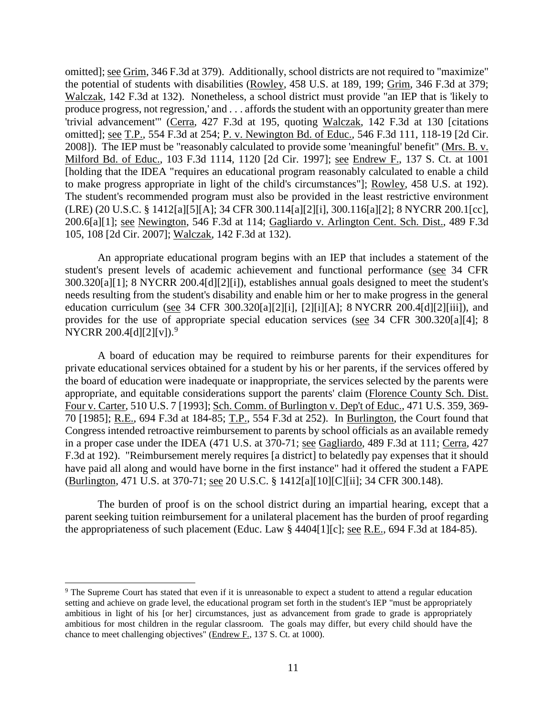omitted]; see Grim, 346 F.3d at 379). Additionally, school districts are not required to "maximize" the potential of students with disabilities (Rowley, 458 U.S. at 189, 199; Grim, 346 F.3d at 379; Walczak, 142 F.3d at 132). Nonetheless, a school district must provide "an IEP that is 'likely to produce progress, not regression,' and . . . affords the student with an opportunity greater than mere 'trivial advancement'" (Cerra, 427 F.3d at 195, quoting Walczak, 142 F.3d at 130 [citations omitted]; <u>see T.P.</u>, 554 F.3d at 254; P. v. Newington Bd. of Educ., 546 F.3d 111, 118-19 [2d Cir. 2008]). The IEP must be "reasonably calculated to provide some 'meaningful' benefit" (Mrs. B. v. Milford Bd. of Educ., 103 F.3d 1114, 1120 [2d Cir. 1997]; see Endrew F., 137 S. Ct. at 1001 [holding that the IDEA "requires an educational program reasonably calculated to enable a child to make progress appropriate in light of the child's circumstances"]; Rowley, 458 U.S. at 192). The student's recommended program must also be provided in the least restrictive environment (LRE) (20 U.S.C. § 1412[a][5][A]; 34 CFR 300.114[a][2][i], 300.116[a][2]; 8 NYCRR 200.1[cc], 200.6[a][1]; see Newington, 546 F.3d at 114; Gagliardo v. Arlington Cent. Sch. Dist., 489 F.3d 105, 108 [2d Cir. 2007]; Walczak, 142 F.3d at 132).

An appropriate educational program begins with an IEP that includes a statement of the student's present levels of academic achievement and functional performance (see 34 CFR 300.320[a][1]; 8 NYCRR 200.4[d][2][i]), establishes annual goals designed to meet the student's needs resulting from the student's disability and enable him or her to make progress in the general education curriculum (see 34 CFR 300.320[a][2][i], [2][i][A]; 8 NYCRR 200.4[d][2][iii]), and provides for the use of appropriate special education services (see 34 CFR 300.320[a][4]; 8 NYCRR 200.4[d][2][v]).<sup>9</sup>

A board of education may be required to reimburse parents for their expenditures for private educational services obtained for a student by his or her parents, if the services offered by the board of education were inadequate or inappropriate, the services selected by the parents were appropriate, and equitable considerations support the parents' claim (Florence County Sch. Dist. Four v. Carter, 510 U.S. 7 [1993]; Sch. Comm. of Burlington v. Dep't of Educ., 471 U.S. 359, 369- 70 [1985]; R.E., 694 F.3d at 184-85; T.P., 554 F.3d at 252). In Burlington, the Court found that Congress intended retroactive reimbursement to parents by school officials as an available remedy in a proper case under the IDEA (471 U.S. at 370-71; see Gagliardo, 489 F.3d at 111; Cerra, 427 F.3d at 192). "Reimbursement merely requires [a district] to belatedly pay expenses that it should have paid all along and would have borne in the first instance" had it offered the student a FAPE (Burlington, 471 U.S. at 370-71; see 20 U.S.C. § 1412[a][10][C][ii]; 34 CFR 300.148).

The burden of proof is on the school district during an impartial hearing, except that a parent seeking tuition reimbursement for a unilateral placement has the burden of proof regarding the appropriateness of such placement (Educ. Law § 4404[1][c]; <u>see R.E.</u>, 694 F.3d at 184-85).

<sup>&</sup>lt;sup>9</sup> The Supreme Court has stated that even if it is unreasonable to expect a student to attend a regular education setting and achieve on grade level, the educational program set forth in the student's IEP "must be appropriately ambitious in light of his [or her] circumstances, just as advancement from grade to grade is appropriately ambitious for most children in the regular classroom. The goals may differ, but every child should have the chance to meet challenging objectives" (Endrew F., 137 S. Ct. at 1000).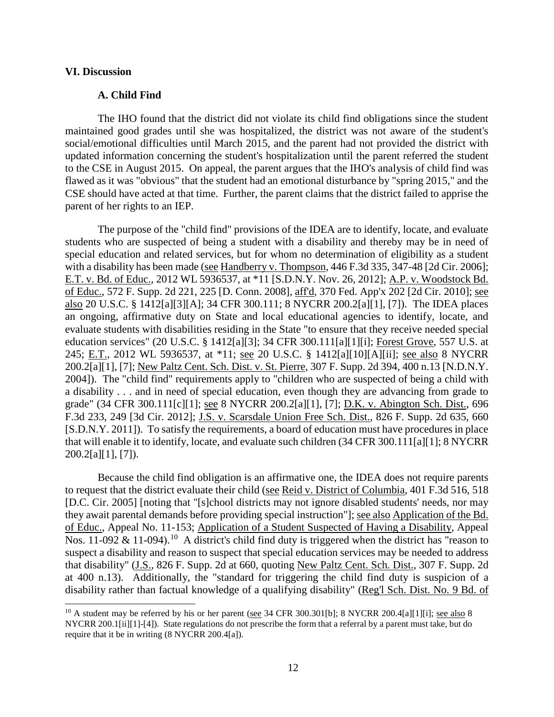## **VI. Discussion**

## **A. Child Find**

The IHO found that the district did not violate its child find obligations since the student maintained good grades until she was hospitalized, the district was not aware of the student's social/emotional difficulties until March 2015, and the parent had not provided the district with updated information concerning the student's hospitalization until the parent referred the student to the CSE in August 2015. On appeal, the parent argues that the IHO's analysis of child find was flawed as it was "obvious" that the student had an emotional disturbance by "spring 2015," and the CSE should have acted at that time. Further, the parent claims that the district failed to apprise the parent of her rights to an IEP.

The purpose of the "child find" provisions of the IDEA are to identify, locate, and evaluate students who are suspected of being a student with a disability and thereby may be in need of special education and related services, but for whom no determination of eligibility as a student with a disability has been made (see Handberry v. Thompson, 446 F.3d 335, 347-48 [2d Cir. 2006]; E.T. v. Bd. of Educ., 2012 WL 5936537, at \*11 [S.D.N.Y. Nov. 26, 2012]; A.P. v. Woodstock Bd. of Educ., 572 F. Supp. 2d 221, 225 [D. Conn. 2008], aff'd, 370 Fed. App'x 202 [2d Cir. 2010]; see also 20 U.S.C. § 1412[a][3][A]; 34 CFR 300.111; 8 NYCRR 200.2[a][1], [7]). The IDEA places an ongoing, affirmative duty on State and local educational agencies to identify, locate, and evaluate students with disabilities residing in the State "to ensure that they receive needed special education services" (20 U.S.C. § 1412[a][3]; 34 CFR 300.111[a][1][i]; Forest Grove, 557 U.S. at 245; E.T., 2012 WL 5936537, at \*11; see 20 U.S.C. § 1412[a][10][A][ii]; see also 8 NYCRR 200.2[a][1], [7]; New Paltz Cent. Sch. Dist. v. St. Pierre, 307 F. Supp. 2d 394, 400 n.13 [N.D.N.Y. 2004]). The "child find" requirements apply to "children who are suspected of being a child with a disability . . . and in need of special education, even though they are advancing from grade to grade" (34 CFR 300.111[c][1]; see 8 NYCRR 200.2[a][1], [7]; D.K. v. Abington Sch. Dist., 696 F.3d 233, 249 [3d Cir. 2012]; J.S. v. Scarsdale Union Free Sch. Dist., 826 F. Supp. 2d 635, 660 [S.D.N.Y. 2011]). To satisfy the requirements, a board of education must have procedures in place that will enable it to identify, locate, and evaluate such children (34 CFR 300.111[a][1]; 8 NYCRR  $200.2[a][1], [7]$ .

Because the child find obligation is an affirmative one, the IDEA does not require parents to request that the district evaluate their child (see Reid v. District of Columbia, 401 F.3d 516, 518 [D.C. Cir. 2005] [noting that "[s]chool districts may not ignore disabled students' needs, nor may they await parental demands before providing special instruction"]; see also Application of the Bd. of Educ., Appeal No. 11-153; Application of a Student Suspected of Having a Disability, Appeal Nos. 11-092  $\&$  11-094).<sup>10</sup> A district's child find duty is triggered when the district has "reason to suspect a disability and reason to suspect that special education services may be needed to address that disability" (J.S., 826 F. Supp. 2d at 660, quoting New Paltz Cent. Sch. Dist., 307 F. Supp. 2d at 400 n.13). Additionally, the "standard for triggering the child find duty is suspicion of a disability rather than factual knowledge of a qualifying disability" (Reg'l Sch. Dist. No. 9 Bd. of

<sup>&</sup>lt;sup>10</sup> A student may be referred by his or her parent (see 34 CFR 300.301[b]; 8 NYCRR 200.4[a][1][i]; see also 8 NYCRR 200.1[ii][1]-[4]). State regulations do not prescribe the form that a referral by a parent must take, but do require that it be in writing (8 NYCRR 200.4[a]).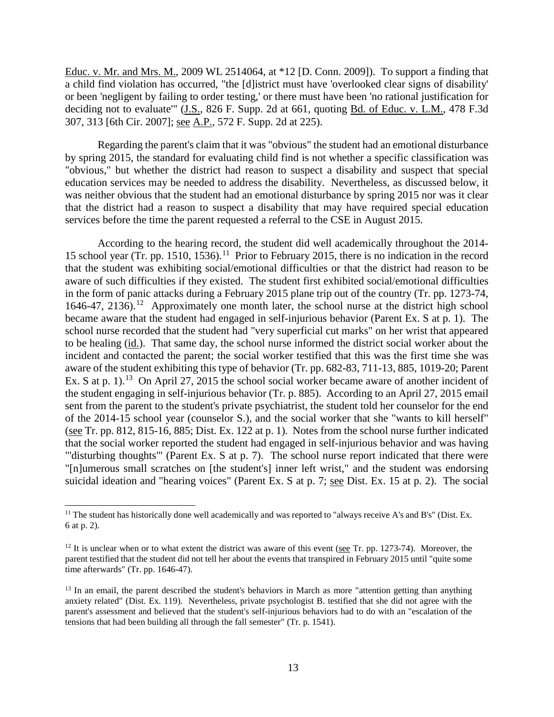Educ. v. Mr. and Mrs. M., 2009 WL 2514064, at \*12 [D. Conn. 2009]). To support a finding that a child find violation has occurred, "the [d]istrict must have 'overlooked clear signs of disability' or been 'negligent by failing to order testing,' or there must have been 'no rational justification for deciding not to evaluate" (J.S., 826 F. Supp. 2d at 661, quoting Bd. of Educ. v. L.M., 478 F.3d 307, 313 [6th Cir. 2007]; see A.P., 572 F. Supp. 2d at 225).

Regarding the parent's claim that it was "obvious" the student had an emotional disturbance by spring 2015, the standard for evaluating child find is not whether a specific classification was "obvious," but whether the district had reason to suspect a disability and suspect that special education services may be needed to address the disability. Nevertheless, as discussed below, it was neither obvious that the student had an emotional disturbance by spring 2015 nor was it clear that the district had a reason to suspect a disability that may have required special education services before the time the parent requested a referral to the CSE in August 2015.

According to the hearing record, the student did well academically throughout the 2014- 15 school year (Tr. pp. 1510, 1536).<sup>11</sup> Prior to February 2015, there is no indication in the record that the student was exhibiting social/emotional difficulties or that the district had reason to be aware of such difficulties if they existed. The student first exhibited social/emotional difficulties in the form of panic attacks during a February 2015 plane trip out of the country (Tr. pp. 1273-74, 1646-47, 2136).<sup>12</sup> Approximately one month later, the school nurse at the district high school became aware that the student had engaged in self-injurious behavior (Parent Ex. S at p. 1). The school nurse recorded that the student had "very superficial cut marks" on her wrist that appeared to be healing (id.). That same day, the school nurse informed the district social worker about the incident and contacted the parent; the social worker testified that this was the first time she was aware of the student exhibiting this type of behavior (Tr. pp. 682-83, 711-13, 885, 1019-20; Parent Ex. S at p.  $1$ ).<sup>13</sup> On April 27, 2015 the school social worker became aware of another incident of the student engaging in self-injurious behavior (Tr. p. 885). According to an April 27, 2015 email sent from the parent to the student's private psychiatrist, the student told her counselor for the end of the 2014-15 school year (counselor S.), and the social worker that she "wants to kill herself" (see Tr. pp. 812, 815-16, 885; Dist. Ex. 122 at p. 1). Notes from the school nurse further indicated that the social worker reported the student had engaged in self-injurious behavior and was having "'disturbing thoughts'" (Parent Ex. S at p. 7). The school nurse report indicated that there were "[n]umerous small scratches on [the student's] inner left wrist," and the student was endorsing suicidal ideation and "hearing voices" (Parent Ex. S at p. 7; see Dist. Ex. 15 at p. 2). The social

<sup>&</sup>lt;sup>11</sup> The student has historically done well academically and was reported to "always receive A's and B's" (Dist. Ex. 6 at p. 2).

 $12$  It is unclear when or to what extent the district was aware of this event (see Tr. pp. 1273-74). Moreover, the parent testified that the student did not tell her about the events that transpired in February 2015 until "quite some time afterwards" (Tr. pp. 1646-47).

<sup>&</sup>lt;sup>13</sup> In an email, the parent described the student's behaviors in March as more "attention getting than anything anxiety related" (Dist. Ex. 119). Nevertheless, private psychologist B. testified that she did not agree with the parent's assessment and believed that the student's self-injurious behaviors had to do with an "escalation of the tensions that had been building all through the fall semester" (Tr. p. 1541).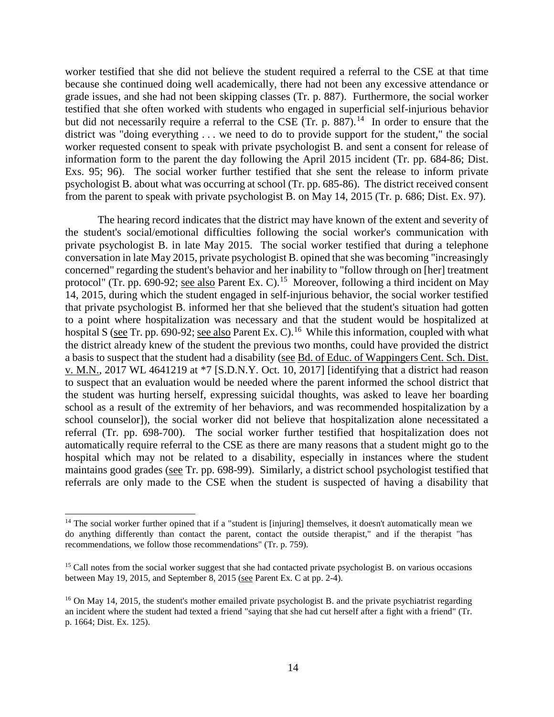worker testified that she did not believe the student required a referral to the CSE at that time because she continued doing well academically, there had not been any excessive attendance or grade issues, and she had not been skipping classes (Tr. p. 887). Furthermore, the social worker testified that she often worked with students who engaged in superficial self-injurious behavior but did not necessarily require a referral to the CSE (Tr. p.  $887$ ).<sup>14</sup> In order to ensure that the district was "doing everything . . . we need to do to provide support for the student," the social worker requested consent to speak with private psychologist B. and sent a consent for release of information form to the parent the day following the April 2015 incident (Tr. pp. 684-86; Dist. Exs. 95; 96). The social worker further testified that she sent the release to inform private psychologist B. about what was occurring at school (Tr. pp. 685-86). The district received consent from the parent to speak with private psychologist B. on May 14, 2015 (Tr. p. 686; Dist. Ex. 97).

The hearing record indicates that the district may have known of the extent and severity of the student's social/emotional difficulties following the social worker's communication with private psychologist B. in late May 2015. The social worker testified that during a telephone conversation in late May 2015, private psychologist B. opined thatshe was becoming "increasingly concerned" regarding the student's behavior and her inability to "follow through on [her] treatment protocol" (Tr. pp. 690-92; <u>see also</u> Parent Ex. C).<sup>15</sup> Moreover, following a third incident on May 14, 2015, during which the student engaged in self-injurious behavior, the social worker testified that private psychologist B. informed her that she believed that the student's situation had gotten to a point where hospitalization was necessary and that the student would be hospitalized at hospital S (see Tr. pp. 690-92; see also Parent Ex. C).<sup>16</sup> While this information, coupled with what the district already knew of the student the previous two months, could have provided the district a basis to suspect that the student had a disability (see Bd. of Educ. of Wappingers Cent. Sch. Dist. v. M.N., 2017 WL 4641219 at \*7 [S.D.N.Y. Oct. 10, 2017] [identifying that a district had reason to suspect that an evaluation would be needed where the parent informed the school district that the student was hurting herself, expressing suicidal thoughts, was asked to leave her boarding school as a result of the extremity of her behaviors, and was recommended hospitalization by a school counselor]), the social worker did not believe that hospitalization alone necessitated a referral (Tr. pp. 698-700). The social worker further testified that hospitalization does not automatically require referral to the CSE as there are many reasons that a student might go to the hospital which may not be related to a disability, especially in instances where the student maintains good grades (see Tr. pp. 698-99). Similarly, a district school psychologist testified that referrals are only made to the CSE when the student is suspected of having a disability that

 $14$  The social worker further opined that if a "student is [injuring] themselves, it doesn't automatically mean we do anything differently than contact the parent, contact the outside therapist," and if the therapist "has recommendations, we follow those recommendations" (Tr. p. 759).

<sup>&</sup>lt;sup>15</sup> Call notes from the social worker suggest that she had contacted private psychologist B. on various occasions between May 19, 2015, and September 8, 2015 (see Parent Ex. C at pp. 2-4).

<sup>&</sup>lt;sup>16</sup> On May 14, 2015, the student's mother emailed private psychologist B. and the private psychiatrist regarding an incident where the student had texted a friend "saying that she had cut herself after a fight with a friend" (Tr. p. 1664; Dist. Ex. 125).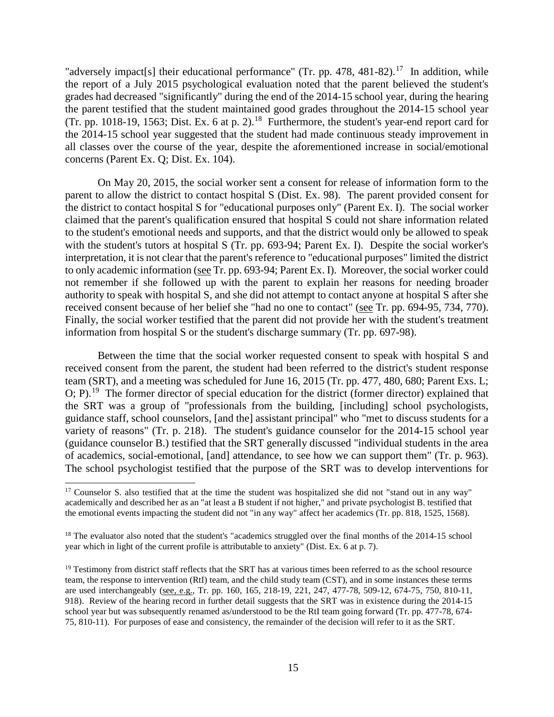"adversely impact[s] their educational performance" (Tr. pp. 478, 481-82).<sup>17</sup> In addition, while the report of a July 2015 psychological evaluation noted that the parent believed the student's grades had decreased "significantly" during the end of the 2014-15 school year, during the hearing the parent testified that the student maintained good grades throughout the 2014-15 school year  $(Tr. pp. 1018-19, 1563; Dist. Ex. 6 at p. 2).$ <sup>18</sup> Furthermore, the student's year-end report card for the 2014-15 school year suggested that the student had made continuous steady improvement in all classes over the course of the year, despite the aforementioned increase in social/emotional concerns (Parent Ex. Q; Dist. Ex. 104).

On May 20, 2015, the social worker sent a consent for release of information form to the parent to allow the district to contact hospital S (Dist. Ex. 98). The parent provided consent for the district to contact hospital S for "educational purposes only" (Parent Ex. I). The social worker claimed that the parent's qualification ensured that hospital S could not share information related to the student's emotional needs and supports, and that the district would only be allowed to speak with the student's tutors at hospital S (Tr. pp. 693-94; Parent Ex. I). Despite the social worker's interpretation, it is not clear that the parent's reference to "educational purposes" limited the district to only academic information (see Tr. pp. 693-94; Parent Ex. I). Moreover, the social worker could not remember if she followed up with the parent to explain her reasons for needing broader authority to speak with hospital S, and she did not attempt to contact anyone at hospital S after she received consent because of her belief she "had no one to contact" (see Tr. pp. 694-95, 734, 770). Finally, the social worker testified that the parent did not provide her with the student's treatment information from hospital S or the student's discharge summary (Tr. pp. 697-98).

Between the time that the social worker requested consent to speak with hospital S and received consent from the parent, the student had been referred to the district's student response team (SRT), and a meeting was scheduled for June 16, 2015 (Tr. pp. 477, 480, 680; Parent Exs. L; O; P).19 The former director of special education for the district (former director) explained that the SRT was a group of "professionals from the building, [including] school psychologists, guidance staff, school counselors, [and the] assistant principal" who "met to discuss students for a variety of reasons" (Tr. p. 218). The student's guidance counselor for the 2014-15 school year (guidance counselor B.) testified that the SRT generally discussed "individual students in the area of academics, social-emotional, [and] attendance, to see how we can support them" (Tr. p. 963). The school psychologist testified that the purpose of the SRT was to develop interventions for

<sup>&</sup>lt;sup>17</sup> Counselor S. also testified that at the time the student was hospitalized she did not "stand out in any way" academically and described her as an "at least a B student if not higher," and private psychologist B. testified that the emotional events impacting the student did not "in any way" affect her academics (Tr. pp. 818, 1525, 1568).

<sup>&</sup>lt;sup>18</sup> The evaluator also noted that the student's "academics struggled over the final months of the 2014-15 school year which in light of the current profile is attributable to anxiety" (Dist. Ex. 6 at p. 7).

<sup>&</sup>lt;sup>19</sup> Testimony from district staff reflects that the SRT has at various times been referred to as the school resource team, the response to intervention (RtI) team, and the child study team (CST), and in some instances these terms are used interchangeably (see, e.g., Tr. pp. 160, 165, 218-19, 221, 247, 477-78, 509-12, 674-75, 750, 810-11, 918). Review of the hearing record in further detail suggests that the SRT was in existence during the 2014-15 school year but was subsequently renamed as/understood to be the RtI team going forward (Tr. pp. 477-78, 674- 75, 810-11). For purposes of ease and consistency, the remainder of the decision will refer to it as the SRT.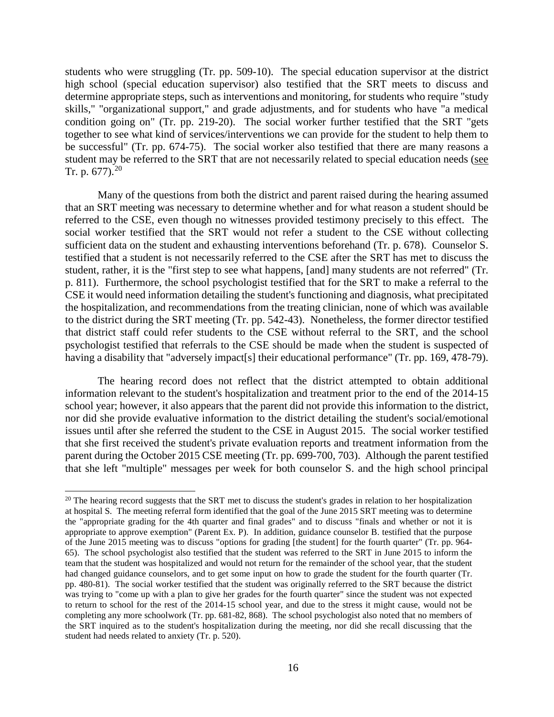students who were struggling (Tr. pp. 509-10). The special education supervisor at the district high school (special education supervisor) also testified that the SRT meets to discuss and determine appropriate steps, such as interventions and monitoring, for students who require "study skills," "organizational support," and grade adjustments, and for students who have "a medical condition going on" (Tr. pp. 219-20). The social worker further testified that the SRT "gets together to see what kind of services/interventions we can provide for the student to help them to be successful" (Tr. pp. 674-75). The social worker also testified that there are many reasons a student may be referred to the SRT that are not necessarily related to special education needs (see Tr. p.  $677$ ).<sup>20</sup>

Many of the questions from both the district and parent raised during the hearing assumed that an SRT meeting was necessary to determine whether and for what reason a student should be referred to the CSE, even though no witnesses provided testimony precisely to this effect. The social worker testified that the SRT would not refer a student to the CSE without collecting sufficient data on the student and exhausting interventions beforehand (Tr. p. 678). Counselor S. testified that a student is not necessarily referred to the CSE after the SRT has met to discuss the student, rather, it is the "first step to see what happens, [and] many students are not referred" (Tr. p. 811). Furthermore, the school psychologist testified that for the SRT to make a referral to the CSE it would need information detailing the student's functioning and diagnosis, what precipitated the hospitalization, and recommendations from the treating clinician, none of which was available to the district during the SRT meeting (Tr. pp. 542-43). Nonetheless, the former director testified that district staff could refer students to the CSE without referral to the SRT, and the school psychologist testified that referrals to the CSE should be made when the student is suspected of having a disability that "adversely impact[s] their educational performance" (Tr. pp. 169, 478-79).

The hearing record does not reflect that the district attempted to obtain additional information relevant to the student's hospitalization and treatment prior to the end of the 2014-15 school year; however, it also appears that the parent did not provide this information to the district, nor did she provide evaluative information to the district detailing the student's social/emotional issues until after she referred the student to the CSE in August 2015. The social worker testified that she first received the student's private evaluation reports and treatment information from the parent during the October 2015 CSE meeting (Tr. pp. 699-700, 703). Although the parent testified that she left "multiple" messages per week for both counselor S. and the high school principal

 $20$  The hearing record suggests that the SRT met to discuss the student's grades in relation to her hospitalization at hospital S. The meeting referral form identified that the goal of the June 2015 SRT meeting was to determine the "appropriate grading for the 4th quarter and final grades" and to discuss "finals and whether or not it is appropriate to approve exemption" (Parent Ex. P). In addition, guidance counselor B. testified that the purpose of the June 2015 meeting was to discuss "options for grading [the student] for the fourth quarter" (Tr. pp. 964- 65). The school psychologist also testified that the student was referred to the SRT in June 2015 to inform the team that the student was hospitalized and would not return for the remainder of the school year, that the student had changed guidance counselors, and to get some input on how to grade the student for the fourth quarter (Tr. pp. 480-81). The social worker testified that the student was originally referred to the SRT because the district was trying to "come up with a plan to give her grades for the fourth quarter" since the student was not expected to return to school for the rest of the 2014-15 school year, and due to the stress it might cause, would not be completing any more schoolwork (Tr. pp. 681-82, 868). The school psychologist also noted that no members of the SRT inquired as to the student's hospitalization during the meeting, nor did she recall discussing that the student had needs related to anxiety (Tr. p. 520).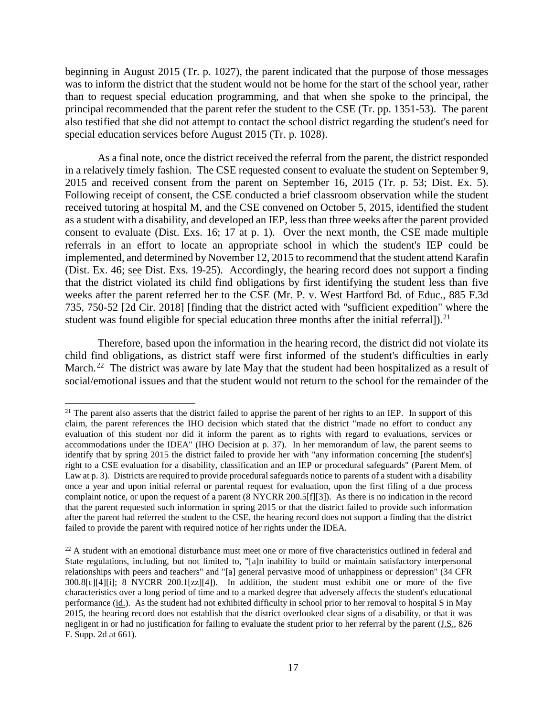beginning in August 2015 (Tr. p. 1027), the parent indicated that the purpose of those messages was to inform the district that the student would not be home for the start of the school year, rather than to request special education programming, and that when she spoke to the principal, the principal recommended that the parent refer the student to the CSE (Tr. pp. 1351-53). The parent also testified that she did not attempt to contact the school district regarding the student's need for special education services before August 2015 (Tr. p. 1028).

As a final note, once the district received the referral from the parent, the district responded in a relatively timely fashion. The CSE requested consent to evaluate the student on September 9, 2015 and received consent from the parent on September 16, 2015 (Tr. p. 53; Dist. Ex. 5). Following receipt of consent, the CSE conducted a brief classroom observation while the student received tutoring at hospital M, and the CSE convened on October 5, 2015, identified the student as a student with a disability, and developed an IEP, less than three weeks after the parent provided consent to evaluate (Dist. Exs. 16; 17 at p. 1). Over the next month, the CSE made multiple referrals in an effort to locate an appropriate school in which the student's IEP could be implemented, and determined by November 12, 2015 to recommend that the student attend Karafin (Dist. Ex. 46; see Dist. Exs. 19-25). Accordingly, the hearing record does not support a finding that the district violated its child find obligations by first identifying the student less than five weeks after the parent referred her to the CSE (Mr. P. v. West Hartford Bd. of Educ., 885 F.3d 735, 750-52 [2d Cir. 2018] [finding that the district acted with "sufficient expedition" where the student was found eligible for special education three months after the initial referral]).<sup>21</sup>

Therefore, based upon the information in the hearing record, the district did not violate its child find obligations, as district staff were first informed of the student's difficulties in early March.<sup>22</sup> The district was aware by late May that the student had been hospitalized as a result of social/emotional issues and that the student would not return to the school for the remainder of the

 $21$  The parent also asserts that the district failed to apprise the parent of her rights to an IEP. In support of this claim, the parent references the IHO decision which stated that the district "made no effort to conduct any evaluation of this student nor did it inform the parent as to rights with regard to evaluations, services or accommodations under the IDEA" (IHO Decision at p. 37). In her memorandum of law, the parent seems to identify that by spring 2015 the district failed to provide her with "any information concerning [the student's] right to a CSE evaluation for a disability, classification and an IEP or procedural safeguards" (Parent Mem. of Law at p. 3). Districts are required to provide procedural safeguards notice to parents of a student with a disability once a year and upon initial referral or parental request for evaluation, upon the first filing of a due process complaint notice, or upon the request of a parent (8 NYCRR 200.5[f][3]). As there is no indication in the record that the parent requested such information in spring 2015 or that the district failed to provide such information after the parent had referred the student to the CSE, the hearing record does not support a finding that the district failed to provide the parent with required notice of her rights under the IDEA.

 $^{22}$  A student with an emotional disturbance must meet one or more of five characteristics outlined in federal and State regulations, including, but not limited to, "[a]n inability to build or maintain satisfactory interpersonal relationships with peers and teachers" and "[a] general pervasive mood of unhappiness or depression" (34 CFR 300.8[c][4][i]; 8 NYCRR 200.1[zz][4]). In addition, the student must exhibit one or more of the five characteristics over a long period of time and to a marked degree that adversely affects the student's educational performance (id.). As the student had not exhibited difficulty in school prior to her removal to hospital S in May 2015, the hearing record does not establish that the district overlooked clear signs of a disability, or that it was negligent in or had no justification for failing to evaluate the student prior to her referral by the parent (J.S., 826 F. Supp. 2d at 661).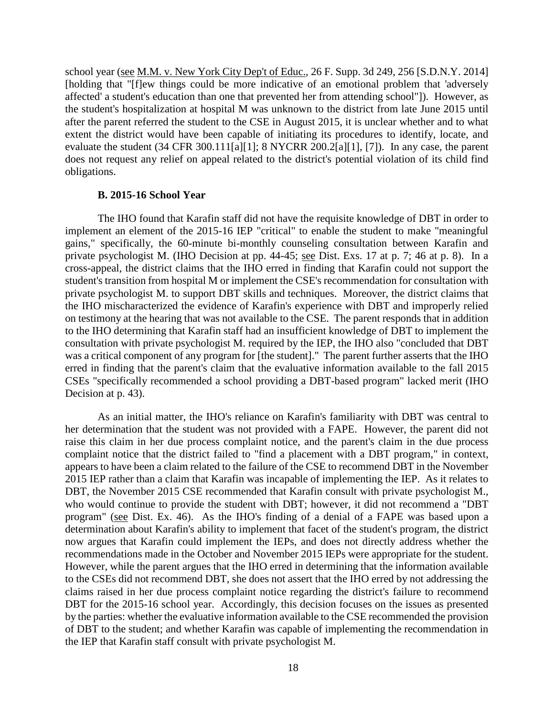school year (see M.M. v. New York City Dep't of Educ., 26 F. Supp. 3d 249, 256 [S.D.N.Y. 2014] [holding that "[f]ew things could be more indicative of an emotional problem that 'adversely affected' a student's education than one that prevented her from attending school"]). However, as the student's hospitalization at hospital M was unknown to the district from late June 2015 until after the parent referred the student to the CSE in August 2015, it is unclear whether and to what extent the district would have been capable of initiating its procedures to identify, locate, and evaluate the student (34 CFR 300.111[a][1]; 8 NYCRR 200.2[a][1], [7]). In any case, the parent does not request any relief on appeal related to the district's potential violation of its child find obligations.

#### **B. 2015-16 School Year**

The IHO found that Karafin staff did not have the requisite knowledge of DBT in order to implement an element of the 2015-16 IEP "critical" to enable the student to make "meaningful gains," specifically, the 60-minute bi-monthly counseling consultation between Karafin and private psychologist M. (IHO Decision at pp. 44-45; see Dist. Exs. 17 at p. 7; 46 at p. 8). In a cross-appeal, the district claims that the IHO erred in finding that Karafin could not support the student's transition from hospital M or implement the CSE's recommendation for consultation with private psychologist M. to support DBT skills and techniques. Moreover, the district claims that the IHO mischaracterized the evidence of Karafin's experience with DBT and improperly relied on testimony at the hearing that was not available to the CSE. The parent responds that in addition to the IHO determining that Karafin staff had an insufficient knowledge of DBT to implement the consultation with private psychologist M. required by the IEP, the IHO also "concluded that DBT was a critical component of any program for [the student]." The parent further asserts that the IHO erred in finding that the parent's claim that the evaluative information available to the fall 2015 CSEs "specifically recommended a school providing a DBT-based program" lacked merit (IHO Decision at p. 43).

As an initial matter, the IHO's reliance on Karafin's familiarity with DBT was central to her determination that the student was not provided with a FAPE. However, the parent did not raise this claim in her due process complaint notice, and the parent's claim in the due process complaint notice that the district failed to "find a placement with a DBT program," in context, appears to have been a claim related to the failure of the CSE to recommend DBT in the November 2015 IEP rather than a claim that Karafin was incapable of implementing the IEP. As it relates to DBT, the November 2015 CSE recommended that Karafin consult with private psychologist M., who would continue to provide the student with DBT; however, it did not recommend a "DBT program" (see Dist. Ex. 46). As the IHO's finding of a denial of a FAPE was based upon a determination about Karafin's ability to implement that facet of the student's program, the district now argues that Karafin could implement the IEPs, and does not directly address whether the recommendations made in the October and November 2015 IEPs were appropriate for the student. However, while the parent argues that the IHO erred in determining that the information available to the CSEs did not recommend DBT, she does not assert that the IHO erred by not addressing the claims raised in her due process complaint notice regarding the district's failure to recommend DBT for the 2015-16 school year. Accordingly, this decision focuses on the issues as presented by the parties: whether the evaluative information available to the CSE recommended the provision of DBT to the student; and whether Karafin was capable of implementing the recommendation in the IEP that Karafin staff consult with private psychologist M.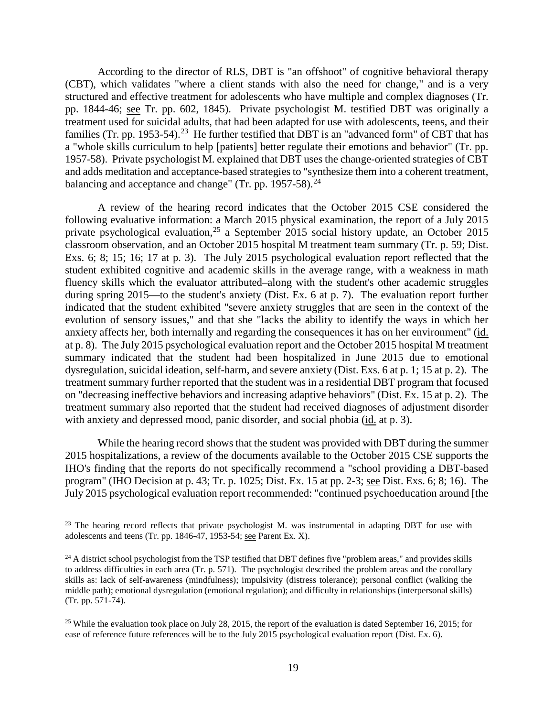According to the director of RLS, DBT is "an offshoot" of cognitive behavioral therapy (CBT), which validates "where a client stands with also the need for change," and is a very structured and effective treatment for adolescents who have multiple and complex diagnoses (Tr. pp. 1844-46; see Tr. pp. 602, 1845). Private psychologist M. testified DBT was originally a treatment used for suicidal adults, that had been adapted for use with adolescents, teens, and their families (Tr. pp. 1953-54).<sup>23</sup> He further testified that DBT is an "advanced form" of CBT that has a "whole skills curriculum to help [patients] better regulate their emotions and behavior" (Tr. pp. 1957-58). Private psychologist M. explained that DBT uses the change-oriented strategies of CBT and adds meditation and acceptance-based strategies to "synthesize them into a coherent treatment, balancing and acceptance and change" (Tr. pp.  $1957-58$ ).<sup>24</sup>

A review of the hearing record indicates that the October 2015 CSE considered the following evaluative information: a March 2015 physical examination, the report of a July 2015 private psychological evaluation,<sup>25</sup> a September 2015 social history update, an October 2015 classroom observation, and an October 2015 hospital M treatment team summary (Tr. p. 59; Dist. Exs. 6; 8; 15; 16; 17 at p. 3). The July 2015 psychological evaluation report reflected that the student exhibited cognitive and academic skills in the average range, with a weakness in math fluency skills which the evaluator attributed–along with the student's other academic struggles during spring 2015—to the student's anxiety (Dist. Ex. 6 at p. 7). The evaluation report further indicated that the student exhibited "severe anxiety struggles that are seen in the context of the evolution of sensory issues," and that she "lacks the ability to identify the ways in which her anxiety affects her, both internally and regarding the consequences it has on her environment" (id. at p. 8). The July 2015 psychological evaluation report and the October 2015 hospital M treatment summary indicated that the student had been hospitalized in June 2015 due to emotional dysregulation, suicidal ideation, self-harm, and severe anxiety (Dist. Exs. 6 at p. 1; 15 at p. 2). The treatment summary further reported that the student was in a residential DBT program that focused on "decreasing ineffective behaviors and increasing adaptive behaviors" (Dist. Ex. 15 at p. 2). The treatment summary also reported that the student had received diagnoses of adjustment disorder with anxiety and depressed mood, panic disorder, and social phobia (id. at p. 3).

While the hearing record shows that the student was provided with DBT during the summer 2015 hospitalizations, a review of the documents available to the October 2015 CSE supports the IHO's finding that the reports do not specifically recommend a "school providing a DBT-based program" (IHO Decision at p. 43; Tr. p. 1025; Dist. Ex. 15 at pp. 2-3; see Dist. Exs. 6; 8; 16). The July 2015 psychological evaluation report recommended: "continued psychoeducation around [the

 $23$  The hearing record reflects that private psychologist M. was instrumental in adapting DBT for use with adolescents and teens (Tr. pp. 1846-47, 1953-54; see Parent Ex. X).

 $^{24}$  A district school psychologist from the TSP testified that DBT defines five "problem areas," and provides skills to address difficulties in each area (Tr. p. 571). The psychologist described the problem areas and the corollary skills as: lack of self-awareness (mindfulness); impulsivity (distress tolerance); personal conflict (walking the middle path); emotional dysregulation (emotional regulation); and difficulty in relationships (interpersonal skills) (Tr. pp. 571-74).

<sup>&</sup>lt;sup>25</sup> While the evaluation took place on July 28, 2015, the report of the evaluation is dated September 16, 2015; for ease of reference future references will be to the July 2015 psychological evaluation report (Dist. Ex. 6).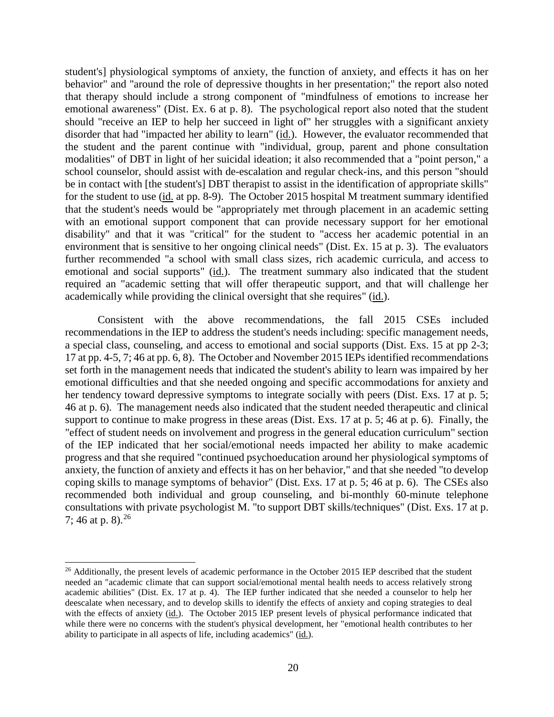student's] physiological symptoms of anxiety, the function of anxiety, and effects it has on her behavior" and "around the role of depressive thoughts in her presentation;" the report also noted that therapy should include a strong component of "mindfulness of emotions to increase her emotional awareness" (Dist. Ex. 6 at p. 8). The psychological report also noted that the student should "receive an IEP to help her succeed in light of" her struggles with a significant anxiety disorder that had "impacted her ability to learn" (id.). However, the evaluator recommended that the student and the parent continue with "individual, group, parent and phone consultation modalities" of DBT in light of her suicidal ideation; it also recommended that a "point person," a school counselor, should assist with de-escalation and regular check-ins, and this person "should be in contact with [the student's] DBT therapist to assist in the identification of appropriate skills" for the student to use (id. at pp. 8-9). The October 2015 hospital M treatment summary identified that the student's needs would be "appropriately met through placement in an academic setting with an emotional support component that can provide necessary support for her emotional disability" and that it was "critical" for the student to "access her academic potential in an environment that is sensitive to her ongoing clinical needs" (Dist. Ex. 15 at p. 3). The evaluators further recommended "a school with small class sizes, rich academic curricula, and access to emotional and social supports" (id.). The treatment summary also indicated that the student required an "academic setting that will offer therapeutic support, and that will challenge her academically while providing the clinical oversight that she requires" (id.).

Consistent with the above recommendations, the fall 2015 CSEs included recommendations in the IEP to address the student's needs including: specific management needs, a special class, counseling, and access to emotional and social supports (Dist. Exs. 15 at pp 2-3; 17 at pp. 4-5, 7; 46 at pp. 6, 8). The October and November 2015 IEPs identified recommendations set forth in the management needs that indicated the student's ability to learn was impaired by her emotional difficulties and that she needed ongoing and specific accommodations for anxiety and her tendency toward depressive symptoms to integrate socially with peers (Dist. Exs. 17 at p. 5; 46 at p. 6). The management needs also indicated that the student needed therapeutic and clinical support to continue to make progress in these areas (Dist. Exs. 17 at p. 5; 46 at p. 6). Finally, the "effect of student needs on involvement and progress in the general education curriculum" section of the IEP indicated that her social/emotional needs impacted her ability to make academic progress and that she required "continued psychoeducation around her physiological symptoms of anxiety, the function of anxiety and effects it has on her behavior," and that she needed "to develop coping skills to manage symptoms of behavior" (Dist. Exs. 17 at p. 5; 46 at p. 6). The CSEs also recommended both individual and group counseling, and bi-monthly 60-minute telephone consultations with private psychologist M. "to support DBT skills/techniques" (Dist. Exs. 17 at p. 7; 46 at p. 8).  $^{26}$ 

<sup>&</sup>lt;sup>26</sup> Additionally, the present levels of academic performance in the October 2015 IEP described that the student needed an "academic climate that can support social/emotional mental health needs to access relatively strong academic abilities" (Dist. Ex. 17 at p. 4). The IEP further indicated that she needed a counselor to help her deescalate when necessary, and to develop skills to identify the effects of anxiety and coping strategies to deal with the effects of anxiety (id.). The October 2015 IEP present levels of physical performance indicated that while there were no concerns with the student's physical development, her "emotional health contributes to her ability to participate in all aspects of life, including academics" (id.).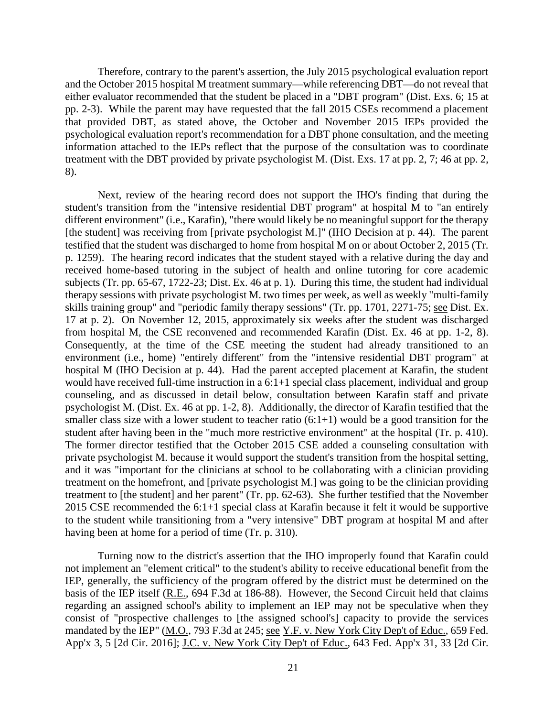Therefore, contrary to the parent's assertion, the July 2015 psychological evaluation report and the October 2015 hospital M treatment summary—while referencing DBT—do not reveal that either evaluator recommended that the student be placed in a "DBT program" (Dist. Exs. 6; 15 at pp. 2-3). While the parent may have requested that the fall 2015 CSEs recommend a placement that provided DBT, as stated above, the October and November 2015 IEPs provided the psychological evaluation report's recommendation for a DBT phone consultation, and the meeting information attached to the IEPs reflect that the purpose of the consultation was to coordinate treatment with the DBT provided by private psychologist M. (Dist. Exs. 17 at pp. 2, 7; 46 at pp. 2, 8).

Next, review of the hearing record does not support the IHO's finding that during the student's transition from the "intensive residential DBT program" at hospital M to "an entirely different environment" (i.e., Karafin), "there would likely be no meaningful support for the therapy [the student] was receiving from [private psychologist M.]" (IHO Decision at p. 44). The parent testified that the student was discharged to home from hospital M on or about October 2, 2015 (Tr. p. 1259). The hearing record indicates that the student stayed with a relative during the day and received home-based tutoring in the subject of health and online tutoring for core academic subjects (Tr. pp. 65-67, 1722-23; Dist. Ex. 46 at p. 1). During this time, the student had individual therapy sessions with private psychologist M. two times per week, as well as weekly "multi-family skills training group" and "periodic family therapy sessions" (Tr. pp. 1701, 2271-75; see Dist. Ex. 17 at p. 2). On November 12, 2015, approximately six weeks after the student was discharged from hospital M, the CSE reconvened and recommended Karafin (Dist. Ex. 46 at pp. 1-2, 8). Consequently, at the time of the CSE meeting the student had already transitioned to an environment (i.e., home) "entirely different" from the "intensive residential DBT program" at hospital M (IHO Decision at p. 44). Had the parent accepted placement at Karafin, the student would have received full-time instruction in a 6:1+1 special class placement, individual and group counseling, and as discussed in detail below, consultation between Karafin staff and private psychologist M. (Dist. Ex. 46 at pp. 1-2, 8). Additionally, the director of Karafin testified that the smaller class size with a lower student to teacher ratio  $(6:1+1)$  would be a good transition for the student after having been in the "much more restrictive environment" at the hospital (Tr. p. 410). The former director testified that the October 2015 CSE added a counseling consultation with private psychologist M. because it would support the student's transition from the hospital setting, and it was "important for the clinicians at school to be collaborating with a clinician providing treatment on the homefront, and [private psychologist M.] was going to be the clinician providing treatment to [the student] and her parent" (Tr. pp. 62-63). She further testified that the November 2015 CSE recommended the 6:1+1 special class at Karafin because it felt it would be supportive to the student while transitioning from a "very intensive" DBT program at hospital M and after having been at home for a period of time (Tr. p. 310).

Turning now to the district's assertion that the IHO improperly found that Karafin could not implement an "element critical" to the student's ability to receive educational benefit from the IEP, generally, the sufficiency of the program offered by the district must be determined on the basis of the IEP itself (R.E., 694 F.3d at 186-88). However, the Second Circuit held that claims regarding an assigned school's ability to implement an IEP may not be speculative when they consist of "prospective challenges to [the assigned school's] capacity to provide the services mandated by the IEP" (M.O., 793 F.3d at 245; see Y.F. v. New York City Dep't of Educ., 659 Fed. App'x 3, 5 [2d Cir. 2016]; J.C. v. New York City Dep't of Educ., 643 Fed. App'x 31, 33 [2d Cir.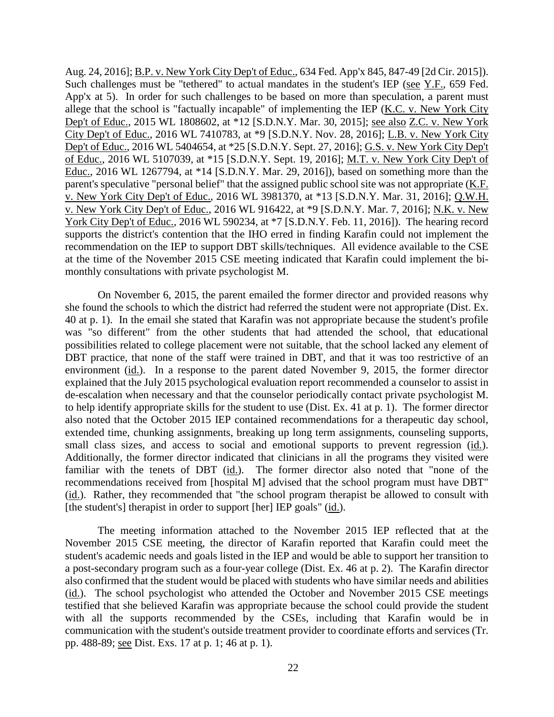Aug. 24, 2016]; B.P. v. New York City Dep't of Educ., 634 Fed. App'x 845, 847-49 [2d Cir. 2015]). Such challenges must be "tethered" to actual mandates in the student's IEP (see Y.F., 659 Fed. App'x at 5). In order for such challenges to be based on more than speculation, a parent must allege that the school is "factually incapable" of implementing the IEP ( $K.C.$  v. New York City Dep't of Educ., 2015 WL 1808602, at \*12 [S.D.N.Y. Mar. 30, 2015]; see also Z.C. v. New York City Dep't of Educ., 2016 WL 7410783, at \*9 [S.D.N.Y. Nov. 28, 2016]; L.B. v. New York City Dep't of Educ., 2016 WL 5404654, at \*25 [S.D.N.Y. Sept. 27, 2016]; G.S. v. New York City Dep't of Educ., 2016 WL 5107039, at \*15 [S.D.N.Y. Sept. 19, 2016]; M.T. v. New York City Dep't of Educ., 2016 WL 1267794, at \*14 [S.D.N.Y. Mar. 29, 2016]), based on something more than the parent's speculative "personal belief" that the assigned public school site was not appropriate (K.F. v. New York City Dep't of Educ., 2016 WL 3981370, at \*13 [S.D.N.Y. Mar. 31, 2016]; Q.W.H. v. New York City Dep't of Educ., 2016 WL 916422, at \*9 [S.D.N.Y. Mar. 7, 2016]; N.K. v. New York City Dep't of Educ., 2016 WL 590234, at \*7 [S.D.N.Y. Feb. 11, 2016]). The hearing record supports the district's contention that the IHO erred in finding Karafin could not implement the recommendation on the IEP to support DBT skills/techniques. All evidence available to the CSE at the time of the November 2015 CSE meeting indicated that Karafin could implement the bimonthly consultations with private psychologist M.

On November 6, 2015, the parent emailed the former director and provided reasons why she found the schools to which the district had referred the student were not appropriate (Dist. Ex. 40 at p. 1). In the email she stated that Karafin was not appropriate because the student's profile was "so different" from the other students that had attended the school, that educational possibilities related to college placement were not suitable, that the school lacked any element of DBT practice, that none of the staff were trained in DBT, and that it was too restrictive of an environment (id.). In a response to the parent dated November 9, 2015, the former director explained that the July 2015 psychological evaluation report recommended a counselor to assist in de-escalation when necessary and that the counselor periodically contact private psychologist M. to help identify appropriate skills for the student to use (Dist. Ex. 41 at p. 1). The former director also noted that the October 2015 IEP contained recommendations for a therapeutic day school, extended time, chunking assignments, breaking up long term assignments, counseling supports, small class sizes, and access to social and emotional supports to prevent regression (id.). Additionally, the former director indicated that clinicians in all the programs they visited were familiar with the tenets of DBT (id.). The former director also noted that "none of the recommendations received from [hospital M] advised that the school program must have DBT" (id.). Rather, they recommended that "the school program therapist be allowed to consult with [the student's] therapist in order to support [her] IEP goals" (id.).

The meeting information attached to the November 2015 IEP reflected that at the November 2015 CSE meeting, the director of Karafin reported that Karafin could meet the student's academic needs and goals listed in the IEP and would be able to support her transition to a post-secondary program such as a four-year college (Dist. Ex. 46 at p. 2). The Karafin director also confirmed that the student would be placed with students who have similar needs and abilities (id.). The school psychologist who attended the October and November 2015 CSE meetings testified that she believed Karafin was appropriate because the school could provide the student with all the supports recommended by the CSEs, including that Karafin would be in communication with the student's outside treatment provider to coordinate efforts and services (Tr. pp. 488-89; see Dist. Exs. 17 at p. 1; 46 at p. 1).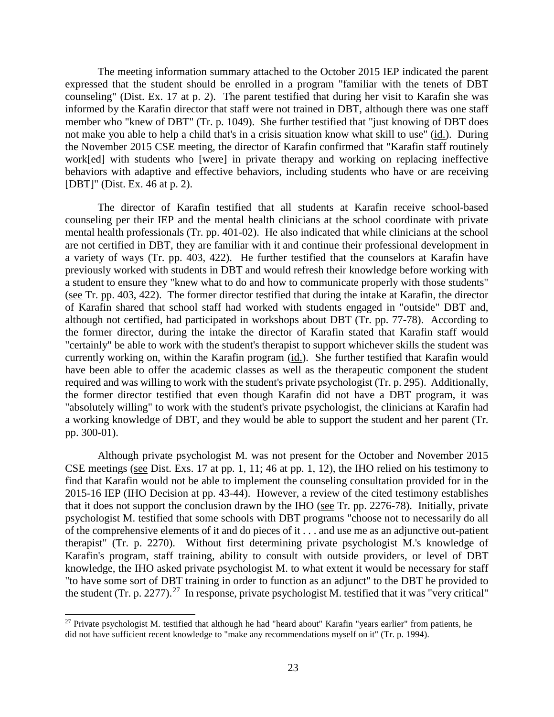The meeting information summary attached to the October 2015 IEP indicated the parent expressed that the student should be enrolled in a program "familiar with the tenets of DBT counseling" (Dist. Ex. 17 at p. 2). The parent testified that during her visit to Karafin she was informed by the Karafin director that staff were not trained in DBT, although there was one staff member who "knew of DBT" (Tr. p. 1049). She further testified that "just knowing of DBT does not make you able to help a child that's in a crisis situation know what skill to use" (id.). During the November 2015 CSE meeting, the director of Karafin confirmed that "Karafin staff routinely work[ed] with students who [were] in private therapy and working on replacing ineffective behaviors with adaptive and effective behaviors, including students who have or are receiving [DBT]" (Dist. Ex. 46 at p. 2).

The director of Karafin testified that all students at Karafin receive school-based counseling per their IEP and the mental health clinicians at the school coordinate with private mental health professionals (Tr. pp. 401-02). He also indicated that while clinicians at the school are not certified in DBT, they are familiar with it and continue their professional development in a variety of ways (Tr. pp. 403, 422). He further testified that the counselors at Karafin have previously worked with students in DBT and would refresh their knowledge before working with a student to ensure they "knew what to do and how to communicate properly with those students" (see Tr. pp. 403, 422). The former director testified that during the intake at Karafin, the director of Karafin shared that school staff had worked with students engaged in "outside" DBT and, although not certified, had participated in workshops about DBT (Tr. pp. 77-78). According to the former director, during the intake the director of Karafin stated that Karafin staff would "certainly" be able to work with the student's therapist to support whichever skills the student was currently working on, within the Karafin program (id.). She further testified that Karafin would have been able to offer the academic classes as well as the therapeutic component the student required and was willing to work with the student's private psychologist (Tr. p. 295). Additionally, the former director testified that even though Karafin did not have a DBT program, it was "absolutely willing" to work with the student's private psychologist, the clinicians at Karafin had a working knowledge of DBT, and they would be able to support the student and her parent (Tr. pp. 300-01).

Although private psychologist M. was not present for the October and November 2015 CSE meetings (see Dist. Exs. 17 at pp. 1, 11; 46 at pp. 1, 12), the IHO relied on his testimony to find that Karafin would not be able to implement the counseling consultation provided for in the 2015-16 IEP (IHO Decision at pp. 43-44). However, a review of the cited testimony establishes that it does not support the conclusion drawn by the IHO (see Tr. pp. 2276-78). Initially, private psychologist M. testified that some schools with DBT programs "choose not to necessarily do all of the comprehensive elements of it and do pieces of it . . . and use me as an adjunctive out-patient therapist" (Tr. p. 2270). Without first determining private psychologist M.'s knowledge of Karafin's program, staff training, ability to consult with outside providers, or level of DBT knowledge, the IHO asked private psychologist M. to what extent it would be necessary for staff "to have some sort of DBT training in order to function as an adjunct" to the DBT he provided to the student (Tr. p. 2277).<sup>27</sup> In response, private psychologist M. testified that it was "very critical"

<sup>&</sup>lt;sup>27</sup> Private psychologist M. testified that although he had "heard about" Karafin "years earlier" from patients, he did not have sufficient recent knowledge to "make any recommendations myself on it" (Tr. p. 1994).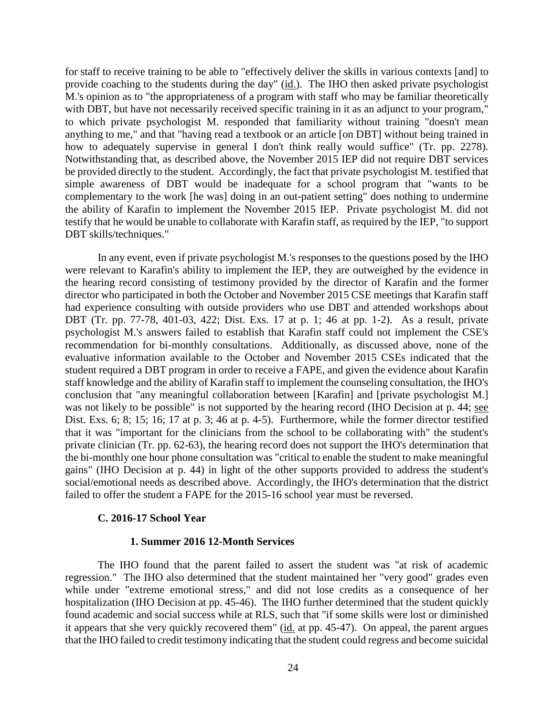for staff to receive training to be able to "effectively deliver the skills in various contexts [and] to provide coaching to the students during the day" (id.). The IHO then asked private psychologist M.'s opinion as to "the appropriateness of a program with staff who may be familiar theoretically with DBT, but have not necessarily received specific training in it as an adjunct to your program," to which private psychologist M. responded that familiarity without training "doesn't mean anything to me," and that "having read a textbook or an article [on DBT] without being trained in how to adequately supervise in general I don't think really would suffice" (Tr. pp. 2278). Notwithstanding that, as described above, the November 2015 IEP did not require DBT services be provided directly to the student. Accordingly, the fact that private psychologist M. testified that simple awareness of DBT would be inadequate for a school program that "wants to be complementary to the work [he was] doing in an out-patient setting" does nothing to undermine the ability of Karafin to implement the November 2015 IEP. Private psychologist M. did not testify that he would be unable to collaborate with Karafin staff, as required by the IEP, "to support DBT skills/techniques."

In any event, even if private psychologist M.'s responses to the questions posed by the IHO were relevant to Karafin's ability to implement the IEP, they are outweighed by the evidence in the hearing record consisting of testimony provided by the director of Karafin and the former director who participated in both the October and November 2015 CSE meetings that Karafin staff had experience consulting with outside providers who use DBT and attended workshops about DBT (Tr. pp. 77-78, 401-03, 422; Dist. Exs. 17 at p. 1; 46 at pp. 1-2). As a result, private psychologist M.'s answers failed to establish that Karafin staff could not implement the CSE's recommendation for bi-monthly consultations. Additionally, as discussed above, none of the evaluative information available to the October and November 2015 CSEs indicated that the student required a DBT program in order to receive a FAPE, and given the evidence about Karafin staff knowledge and the ability of Karafin staff to implement the counseling consultation, the IHO's conclusion that "any meaningful collaboration between [Karafin] and [private psychologist M.] was not likely to be possible" is not supported by the hearing record (IHO Decision at p. 44; see Dist. Exs. 6; 8; 15; 16; 17 at p. 3; 46 at p. 4-5). Furthermore, while the former director testified that it was "important for the clinicians from the school to be collaborating with" the student's private clinician (Tr. pp. 62-63), the hearing record does not support the IHO's determination that the bi-monthly one hour phone consultation was "critical to enable the student to make meaningful gains" (IHO Decision at p. 44) in light of the other supports provided to address the student's social/emotional needs as described above. Accordingly, the IHO's determination that the district failed to offer the student a FAPE for the 2015-16 school year must be reversed.

### **C. 2016-17 School Year**

# **1. Summer 2016 12-Month Services**

The IHO found that the parent failed to assert the student was "at risk of academic regression." The IHO also determined that the student maintained her "very good" grades even while under "extreme emotional stress," and did not lose credits as a consequence of her hospitalization (IHO Decision at pp. 45-46). The IHO further determined that the student quickly found academic and social success while at RLS, such that "if some skills were lost or diminished it appears that she very quickly recovered them" (id. at pp. 45-47). On appeal, the parent argues that the IHO failed to credit testimony indicating that the student could regress and become suicidal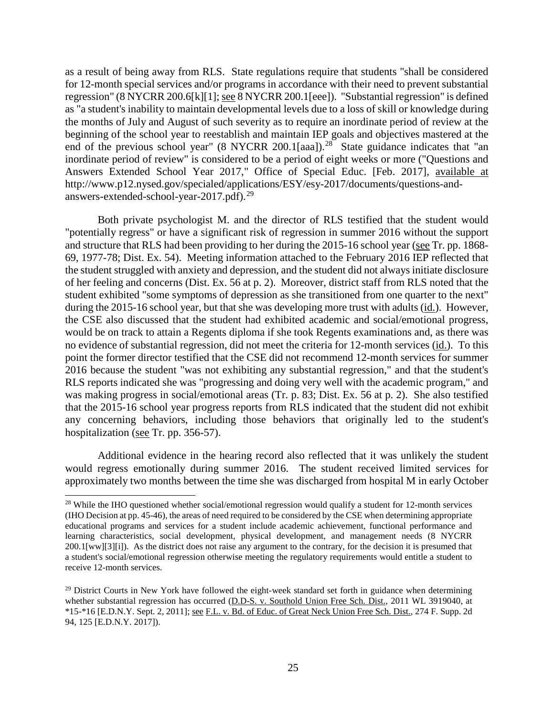as a result of being away from RLS. State regulations require that students "shall be considered for 12-month special services and/or programs in accordance with their need to prevent substantial regression" (8 NYCRR 200.6[k][1]; see 8 NYCRR 200.1[eee]). "Substantial regression" is defined as "a student's inability to maintain developmental levels due to a loss of skill or knowledge during the months of July and August of such severity as to require an inordinate period of review at the beginning of the school year to reestablish and maintain IEP goals and objectives mastered at the end of the previous school year" (8 NYCRR 200.1[aaa]).<sup>28</sup> State guidance indicates that "an inordinate period of review" is considered to be a period of eight weeks or more ("Questions and Answers Extended School Year 2017," Office of Special Educ. [Feb. 2017], available at http://www.p12.nysed.gov/specialed/applications/ESY/esy-2017/documents/questions-andanswers-extended-school-year-2017.pdf).<sup>29</sup>

Both private psychologist M. and the director of RLS testified that the student would "potentially regress" or have a significant risk of regression in summer 2016 without the support and structure that RLS had been providing to her during the 2015-16 school year (see Tr. pp. 1868- 69, 1977-78; Dist. Ex. 54). Meeting information attached to the February 2016 IEP reflected that the student struggled with anxiety and depression, and the student did not always initiate disclosure of her feeling and concerns (Dist. Ex. 56 at p. 2). Moreover, district staff from RLS noted that the student exhibited "some symptoms of depression as she transitioned from one quarter to the next" during the 2015-16 school year, but that she was developing more trust with adults (id.). However, the CSE also discussed that the student had exhibited academic and social/emotional progress, would be on track to attain a Regents diploma if she took Regents examinations and, as there was no evidence of substantial regression, did not meet the criteria for 12-month services (id.). To this point the former director testified that the CSE did not recommend 12-month services for summer 2016 because the student "was not exhibiting any substantial regression," and that the student's RLS reports indicated she was "progressing and doing very well with the academic program," and was making progress in social/emotional areas (Tr. p. 83; Dist. Ex. 56 at p. 2). She also testified that the 2015-16 school year progress reports from RLS indicated that the student did not exhibit any concerning behaviors, including those behaviors that originally led to the student's hospitalization (see Tr. pp. 356-57).

Additional evidence in the hearing record also reflected that it was unlikely the student would regress emotionally during summer 2016. The student received limited services for approximately two months between the time she was discharged from hospital M in early October

<sup>&</sup>lt;sup>28</sup> While the IHO questioned whether social/emotional regression would qualify a student for 12-month services (IHO Decision at pp. 45-46), the areas of need required to be considered by the CSE when determining appropriate educational programs and services for a student include academic achievement, functional performance and learning characteristics, social development, physical development, and management needs (8 NYCRR 200.1[ww][3][i]). As the district does not raise any argument to the contrary, for the decision it is presumed that a student's social/emotional regression otherwise meeting the regulatory requirements would entitle a student to receive 12-month services.

 $29$  District Courts in New York have followed the eight-week standard set forth in guidance when determining whether substantial regression has occurred (D.D-S. v. Southold Union Free Sch. Dist., 2011 WL 3919040, at \*15-\*16 [E.D.N.Y. Sept. 2, 2011]; see F.L. v. Bd. of Educ. of Great Neck Union Free Sch. Dist., 274 F. Supp. 2d 94, 125 [E.D.N.Y. 2017]).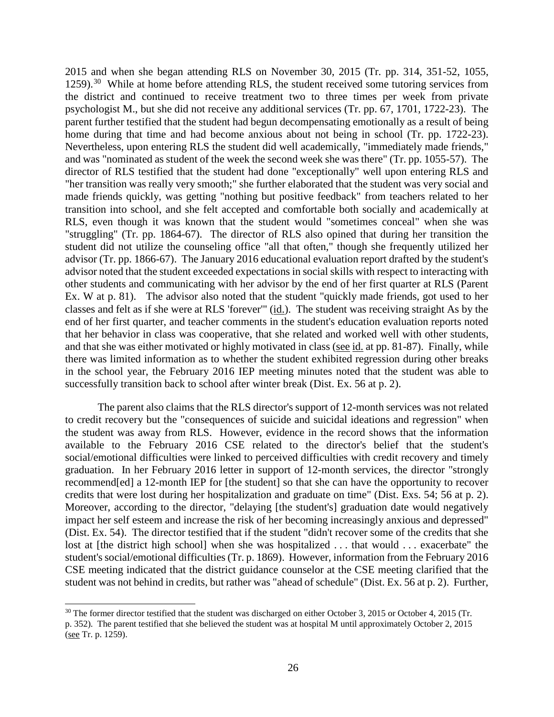2015 and when she began attending RLS on November 30, 2015 (Tr. pp. 314, 351-52, 1055, 1259).<sup>30</sup> While at home before attending RLS, the student received some tutoring services from the district and continued to receive treatment two to three times per week from private psychologist M., but she did not receive any additional services (Tr. pp. 67, 1701, 1722-23). The parent further testified that the student had begun decompensating emotionally as a result of being home during that time and had become anxious about not being in school (Tr. pp. 1722-23). Nevertheless, upon entering RLS the student did well academically, "immediately made friends," and was "nominated as student of the week the second week she was there" (Tr. pp. 1055-57). The director of RLS testified that the student had done "exceptionally" well upon entering RLS and "her transition was really very smooth;" she further elaborated that the student was very social and made friends quickly, was getting "nothing but positive feedback" from teachers related to her transition into school, and she felt accepted and comfortable both socially and academically at RLS, even though it was known that the student would "sometimes conceal" when she was "struggling" (Tr. pp. 1864-67). The director of RLS also opined that during her transition the student did not utilize the counseling office "all that often," though she frequently utilized her advisor (Tr. pp. 1866-67). The January 2016 educational evaluation report drafted by the student's advisor noted that the student exceeded expectations in social skills with respect to interacting with other students and communicating with her advisor by the end of her first quarter at RLS (Parent Ex. W at p. 81). The advisor also noted that the student "quickly made friends, got used to her classes and felt as if she were at RLS 'forever'" (id.). The student was receiving straight As by the end of her first quarter, and teacher comments in the student's education evaluation reports noted that her behavior in class was cooperative, that she related and worked well with other students, and that she was either motivated or highly motivated in class (see id. at pp. 81-87). Finally, while there was limited information as to whether the student exhibited regression during other breaks in the school year, the February 2016 IEP meeting minutes noted that the student was able to successfully transition back to school after winter break (Dist. Ex. 56 at p. 2).

The parent also claims that the RLS director's support of 12-month services was not related to credit recovery but the "consequences of suicide and suicidal ideations and regression" when the student was away from RLS. However, evidence in the record shows that the information available to the February 2016 CSE related to the director's belief that the student's social/emotional difficulties were linked to perceived difficulties with credit recovery and timely graduation. In her February 2016 letter in support of 12-month services, the director "strongly recommend[ed] a 12-month IEP for [the student] so that she can have the opportunity to recover credits that were lost during her hospitalization and graduate on time" (Dist. Exs. 54; 56 at p. 2). Moreover, according to the director, "delaying [the student's] graduation date would negatively impact her self esteem and increase the risk of her becoming increasingly anxious and depressed" (Dist. Ex. 54). The director testified that if the student "didn't recover some of the credits that she lost at [the district high school] when she was hospitalized ... that would ... exacerbate" the student's social/emotional difficulties (Tr. p. 1869). However, information from the February 2016 CSE meeting indicated that the district guidance counselor at the CSE meeting clarified that the student was not behind in credits, but rather was "ahead of schedule" (Dist. Ex. 56 at p. 2). Further,

<sup>&</sup>lt;sup>30</sup> The former director testified that the student was discharged on either October 3, 2015 or October 4, 2015 (Tr. p. 352). The parent testified that she believed the student was at hospital M until approximately October 2, 2015 (see Tr. p. 1259).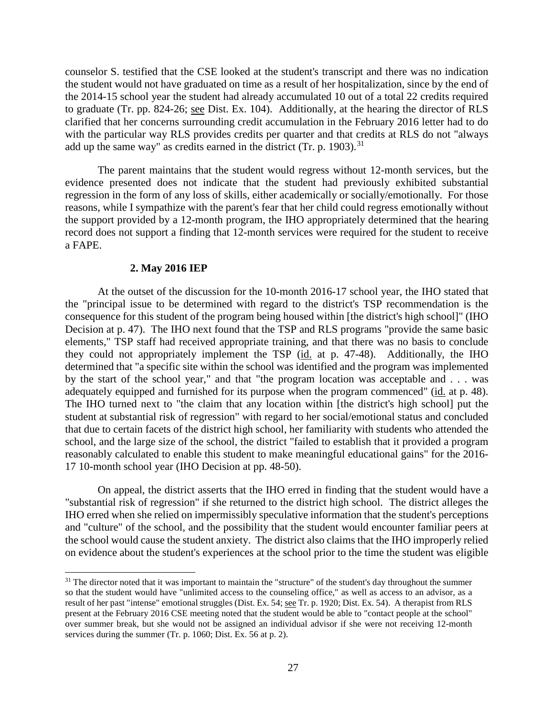counselor S. testified that the CSE looked at the student's transcript and there was no indication the student would not have graduated on time as a result of her hospitalization, since by the end of the 2014-15 school year the student had already accumulated 10 out of a total 22 credits required to graduate (Tr. pp. 824-26; see Dist. Ex. 104). Additionally, at the hearing the director of RLS clarified that her concerns surrounding credit accumulation in the February 2016 letter had to do with the particular way RLS provides credits per quarter and that credits at RLS do not "always add up the same way" as credits earned in the district (Tr. p. 1903).<sup>31</sup>

The parent maintains that the student would regress without 12-month services, but the evidence presented does not indicate that the student had previously exhibited substantial regression in the form of any loss of skills, either academically or socially/emotionally. For those reasons, while I sympathize with the parent's fear that her child could regress emotionally without the support provided by a 12-month program, the IHO appropriately determined that the hearing record does not support a finding that 12-month services were required for the student to receive a FAPE.

## **2. May 2016 IEP**

At the outset of the discussion for the 10-month 2016-17 school year, the IHO stated that the "principal issue to be determined with regard to the district's TSP recommendation is the consequence for this student of the program being housed within [the district's high school]" (IHO Decision at p. 47). The IHO next found that the TSP and RLS programs "provide the same basic elements," TSP staff had received appropriate training, and that there was no basis to conclude they could not appropriately implement the TSP (id. at p. 47-48). Additionally, the IHO determined that "a specific site within the school was identified and the program was implemented by the start of the school year," and that "the program location was acceptable and . . . was adequately equipped and furnished for its purpose when the program commenced" (id. at p. 48). The IHO turned next to "the claim that any location within [the district's high school] put the student at substantial risk of regression" with regard to her social/emotional status and concluded that due to certain facets of the district high school, her familiarity with students who attended the school, and the large size of the school, the district "failed to establish that it provided a program reasonably calculated to enable this student to make meaningful educational gains" for the 2016- 17 10-month school year (IHO Decision at pp. 48-50).

On appeal, the district asserts that the IHO erred in finding that the student would have a "substantial risk of regression" if she returned to the district high school. The district alleges the IHO erred when she relied on impermissibly speculative information that the student's perceptions and "culture" of the school, and the possibility that the student would encounter familiar peers at the school would cause the student anxiety. The district also claims that the IHO improperly relied on evidence about the student's experiences at the school prior to the time the student was eligible

 $31$  The director noted that it was important to maintain the "structure" of the student's day throughout the summer so that the student would have "unlimited access to the counseling office," as well as access to an advisor, as a result of her past "intense" emotional struggles (Dist. Ex. 54; <u>see</u> Tr. p. 1920; Dist. Ex. 54). A therapist from RLS present at the February 2016 CSE meeting noted that the student would be able to "contact people at the school" over summer break, but she would not be assigned an individual advisor if she were not receiving 12-month services during the summer (Tr. p. 1060; Dist. Ex. 56 at p. 2).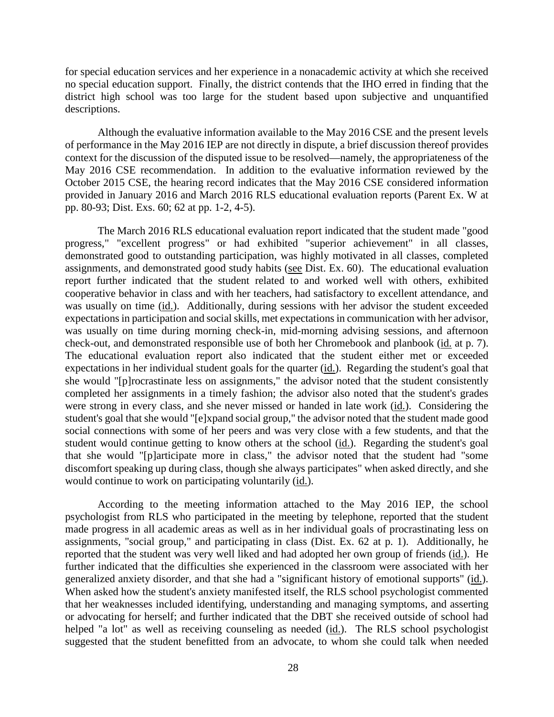for special education services and her experience in a nonacademic activity at which she received no special education support. Finally, the district contends that the IHO erred in finding that the district high school was too large for the student based upon subjective and unquantified descriptions.

Although the evaluative information available to the May 2016 CSE and the present levels of performance in the May 2016 IEP are not directly in dispute, a brief discussion thereof provides context for the discussion of the disputed issue to be resolved—namely, the appropriateness of the May 2016 CSE recommendation. In addition to the evaluative information reviewed by the October 2015 CSE, the hearing record indicates that the May 2016 CSE considered information provided in January 2016 and March 2016 RLS educational evaluation reports (Parent Ex. W at pp. 80-93; Dist. Exs. 60; 62 at pp. 1-2, 4-5).

The March 2016 RLS educational evaluation report indicated that the student made "good progress," "excellent progress" or had exhibited "superior achievement" in all classes, demonstrated good to outstanding participation, was highly motivated in all classes, completed assignments, and demonstrated good study habits (see Dist. Ex. 60). The educational evaluation report further indicated that the student related to and worked well with others, exhibited cooperative behavior in class and with her teachers, had satisfactory to excellent attendance, and was usually on time (id.). Additionally, during sessions with her advisor the student exceeded expectations in participation and social skills, met expectations in communication with her advisor, was usually on time during morning check-in, mid-morning advising sessions, and afternoon check-out, and demonstrated responsible use of both her Chromebook and planbook (id. at p. 7). The educational evaluation report also indicated that the student either met or exceeded expectations in her individual student goals for the quarter (id.). Regarding the student's goal that she would "[p]rocrastinate less on assignments," the advisor noted that the student consistently completed her assignments in a timely fashion; the advisor also noted that the student's grades were strong in every class, and she never missed or handed in late work (id.). Considering the student's goal that she would "[e]xpand social group," the advisor noted that the student made good social connections with some of her peers and was very close with a few students, and that the student would continue getting to know others at the school (id.). Regarding the student's goal that she would "[p]articipate more in class," the advisor noted that the student had "some discomfort speaking up during class, though she always participates" when asked directly, and she would continue to work on participating voluntarily (id.).

According to the meeting information attached to the May 2016 IEP, the school psychologist from RLS who participated in the meeting by telephone, reported that the student made progress in all academic areas as well as in her individual goals of procrastinating less on assignments, "social group," and participating in class (Dist. Ex. 62 at p. 1). Additionally, he reported that the student was very well liked and had adopted her own group of friends (id.). He further indicated that the difficulties she experienced in the classroom were associated with her generalized anxiety disorder, and that she had a "significant history of emotional supports" (id.). When asked how the student's anxiety manifested itself, the RLS school psychologist commented that her weaknesses included identifying, understanding and managing symptoms, and asserting or advocating for herself; and further indicated that the DBT she received outside of school had helped "a lot" as well as receiving counseling as needed (id.). The RLS school psychologist suggested that the student benefitted from an advocate, to whom she could talk when needed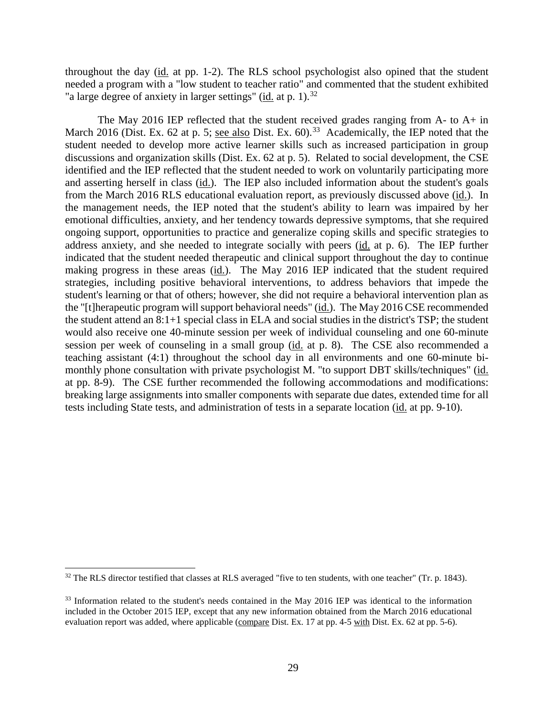throughout the day (id. at pp. 1-2). The RLS school psychologist also opined that the student needed a program with a "low student to teacher ratio" and commented that the student exhibited "a large degree of anxiety in larger settings" (id. at p. 1).<sup>32</sup>

The May 2016 IEP reflected that the student received grades ranging from A- to A+ in March 2016 (Dist. Ex. 62 at p. 5; <u>see also</u> Dist. Ex. 60).<sup>33</sup> Academically, the IEP noted that the student needed to develop more active learner skills such as increased participation in group discussions and organization skills (Dist. Ex. 62 at p. 5). Related to social development, the CSE identified and the IEP reflected that the student needed to work on voluntarily participating more and asserting herself in class (id.). The IEP also included information about the student's goals from the March 2016 RLS educational evaluation report, as previously discussed above (id.). In the management needs, the IEP noted that the student's ability to learn was impaired by her emotional difficulties, anxiety, and her tendency towards depressive symptoms, that she required ongoing support, opportunities to practice and generalize coping skills and specific strategies to address anxiety, and she needed to integrate socially with peers (id. at p. 6). The IEP further indicated that the student needed therapeutic and clinical support throughout the day to continue making progress in these areas (id.). The May 2016 IEP indicated that the student required strategies, including positive behavioral interventions, to address behaviors that impede the student's learning or that of others; however, she did not require a behavioral intervention plan as the "[t]herapeutic program will support behavioral needs" (id.). The May 2016 CSE recommended the student attend an 8:1+1 special class in ELA and social studies in the district's TSP; the student would also receive one 40-minute session per week of individual counseling and one 60-minute session per week of counseling in a small group (id. at p. 8). The CSE also recommended a teaching assistant (4:1) throughout the school day in all environments and one 60-minute bimonthly phone consultation with private psychologist M. "to support DBT skills/techniques" (id. at pp. 8-9). The CSE further recommended the following accommodations and modifications: breaking large assignments into smaller components with separate due dates, extended time for all tests including State tests, and administration of tests in a separate location (id. at pp. 9-10).

<sup>&</sup>lt;sup>32</sup> The RLS director testified that classes at RLS averaged "five to ten students, with one teacher" (Tr. p. 1843).

<sup>&</sup>lt;sup>33</sup> Information related to the student's needs contained in the May 2016 IEP was identical to the information included in the October 2015 IEP, except that any new information obtained from the March 2016 educational evaluation report was added, where applicable (compare Dist. Ex. 17 at pp. 4-5 with Dist. Ex. 62 at pp. 5-6).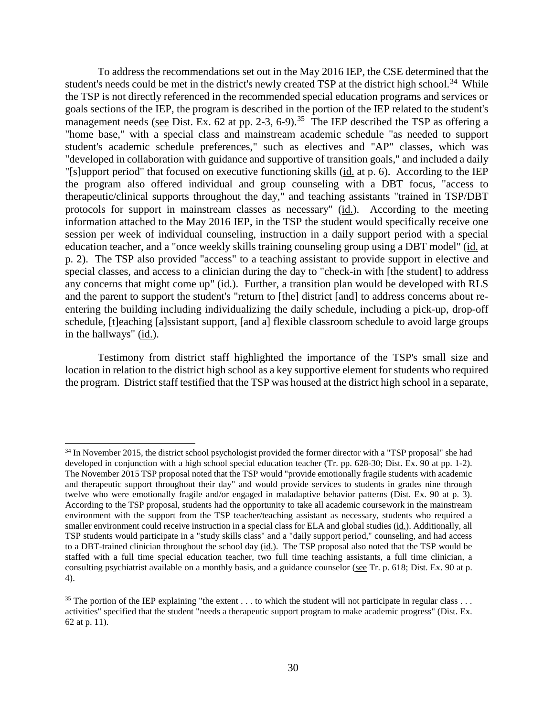To address the recommendations set out in the May 2016 IEP, the CSE determined that the student's needs could be met in the district's newly created TSP at the district high school.<sup>34</sup> While the TSP is not directly referenced in the recommended special education programs and services or goals sections of the IEP, the program is described in the portion of the IEP related to the student's management needs (see Dist. Ex. 62 at pp. 2-3, 6-9).<sup>35</sup> The IEP described the TSP as offering a "home base," with a special class and mainstream academic schedule "as needed to support student's academic schedule preferences," such as electives and "AP" classes, which was "developed in collaboration with guidance and supportive of transition goals," and included a daily "[s]upport period" that focused on executive functioning skills (id. at p. 6). According to the IEP the program also offered individual and group counseling with a DBT focus, "access to therapeutic/clinical supports throughout the day," and teaching assistants "trained in TSP/DBT protocols for support in mainstream classes as necessary" (id.). According to the meeting information attached to the May 2016 IEP, in the TSP the student would specifically receive one session per week of individual counseling, instruction in a daily support period with a special education teacher, and a "once weekly skills training counseling group using a DBT model" (id. at p. 2). The TSP also provided "access" to a teaching assistant to provide support in elective and special classes, and access to a clinician during the day to "check-in with [the student] to address any concerns that might come up" (id.). Further, a transition plan would be developed with RLS and the parent to support the student's "return to [the] district [and] to address concerns about reentering the building including individualizing the daily schedule, including a pick-up, drop-off schedule, [t]eaching [a]ssistant support, [and a] flexible classroom schedule to avoid large groups in the hallways" (id.).

Testimony from district staff highlighted the importance of the TSP's small size and location in relation to the district high school as a key supportive element for students who required the program. District staff testified that the TSP was housed at the district high school in a separate,

<sup>&</sup>lt;sup>34</sup> In November 2015, the district school psychologist provided the former director with a "TSP proposal" she had developed in conjunction with a high school special education teacher (Tr. pp. 628-30; Dist. Ex. 90 at pp. 1-2). The November 2015 TSP proposal noted that the TSP would "provide emotionally fragile students with academic and therapeutic support throughout their day" and would provide services to students in grades nine through twelve who were emotionally fragile and/or engaged in maladaptive behavior patterns (Dist. Ex. 90 at p. 3). According to the TSP proposal, students had the opportunity to take all academic coursework in the mainstream environment with the support from the TSP teacher/teaching assistant as necessary, students who required a smaller environment could receive instruction in a special class for ELA and global studies (id.). Additionally, all TSP students would participate in a "study skills class" and a "daily support period," counseling, and had access to a DBT-trained clinician throughout the school day (id.). The TSP proposal also noted that the TSP would be staffed with a full time special education teacher, two full time teaching assistants, a full time clinician, a consulting psychiatrist available on a monthly basis, and a guidance counselor (see Tr. p. 618; Dist. Ex. 90 at p. 4).

<sup>&</sup>lt;sup>35</sup> The portion of the IEP explaining "the extent  $\dots$  to which the student will not participate in regular class  $\dots$ activities" specified that the student "needs a therapeutic support program to make academic progress" (Dist. Ex. 62 at p. 11).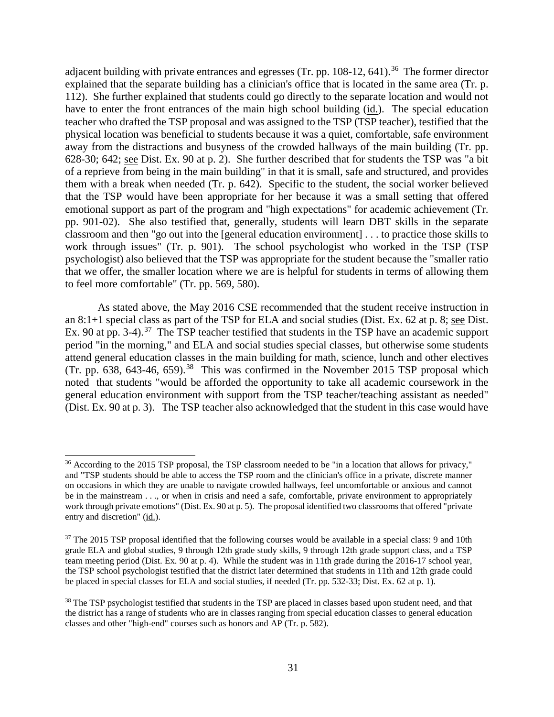adjacent building with private entrances and egresses (Tr. pp.  $108-12$ ,  $641$ ).<sup>36</sup> The former director explained that the separate building has a clinician's office that is located in the same area (Tr. p. 112). She further explained that students could go directly to the separate location and would not have to enter the front entrances of the main high school building (id.). The special education teacher who drafted the TSP proposal and was assigned to the TSP (TSP teacher), testified that the physical location was beneficial to students because it was a quiet, comfortable, safe environment away from the distractions and busyness of the crowded hallways of the main building (Tr. pp. 628-30; 642; see Dist. Ex. 90 at p. 2). She further described that for students the TSP was "a bit of a reprieve from being in the main building" in that it is small, safe and structured, and provides them with a break when needed (Tr. p. 642). Specific to the student, the social worker believed that the TSP would have been appropriate for her because it was a small setting that offered emotional support as part of the program and "high expectations" for academic achievement (Tr. pp. 901-02). She also testified that, generally, students will learn DBT skills in the separate classroom and then "go out into the [general education environment] . . . to practice those skills to work through issues" (Tr. p. 901). The school psychologist who worked in the TSP (TSP psychologist) also believed that the TSP was appropriate for the student because the "smaller ratio that we offer, the smaller location where we are is helpful for students in terms of allowing them to feel more comfortable" (Tr. pp. 569, 580).

As stated above, the May 2016 CSE recommended that the student receive instruction in an 8:1+1 special class as part of the TSP for ELA and social studies (Dist. Ex. 62 at p. 8; see Dist. Ex. 90 at pp. 3-4).<sup>37</sup> The TSP teacher testified that students in the TSP have an academic support period "in the morning," and ELA and social studies special classes, but otherwise some students attend general education classes in the main building for math, science, lunch and other electives (Tr. pp. 638, 643-46, 659).<sup>38</sup> This was confirmed in the November 2015 TSP proposal which noted that students "would be afforded the opportunity to take all academic coursework in the general education environment with support from the TSP teacher/teaching assistant as needed" (Dist. Ex. 90 at p. 3). The TSP teacher also acknowledged that the student in this case would have

<sup>&</sup>lt;sup>36</sup> According to the 2015 TSP proposal, the TSP classroom needed to be "in a location that allows for privacy," and "TSP students should be able to access the TSP room and the clinician's office in a private, discrete manner on occasions in which they are unable to navigate crowded hallways, feel uncomfortable or anxious and cannot be in the mainstream . . ., or when in crisis and need a safe, comfortable, private environment to appropriately work through private emotions" (Dist. Ex. 90 at p. 5). The proposal identified two classrooms that offered "private entry and discretion" (id.).

 $37$  The 2015 TSP proposal identified that the following courses would be available in a special class: 9 and 10th grade ELA and global studies, 9 through 12th grade study skills, 9 through 12th grade support class, and a TSP team meeting period (Dist. Ex. 90 at p. 4). While the student was in 11th grade during the 2016-17 school year, the TSP school psychologist testified that the district later determined that students in 11th and 12th grade could be placed in special classes for ELA and social studies, if needed (Tr. pp. 532-33; Dist. Ex. 62 at p. 1).

<sup>&</sup>lt;sup>38</sup> The TSP psychologist testified that students in the TSP are placed in classes based upon student need, and that the district has a range of students who are in classes ranging from special education classes to general education classes and other "high-end" courses such as honors and AP (Tr. p. 582).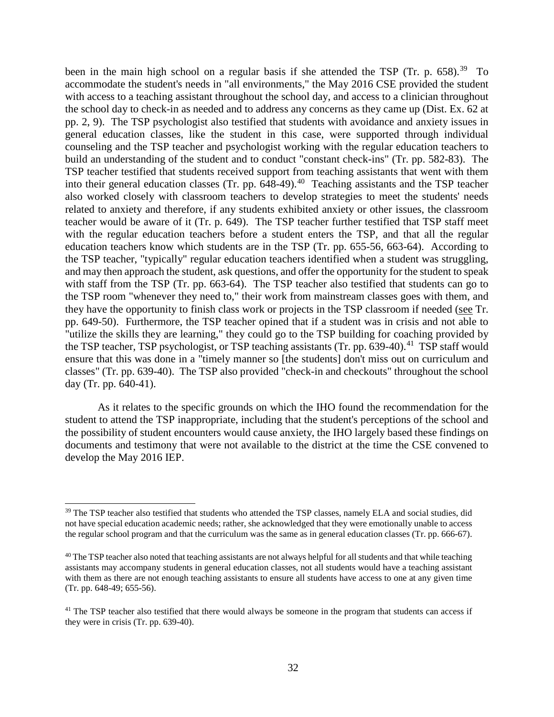been in the main high school on a regular basis if she attended the TSP (Tr. p.  $658$ ).<sup>39</sup> To accommodate the student's needs in "all environments," the May 2016 CSE provided the student with access to a teaching assistant throughout the school day, and access to a clinician throughout the school day to check-in as needed and to address any concerns as they came up (Dist. Ex. 62 at pp. 2, 9). The TSP psychologist also testified that students with avoidance and anxiety issues in general education classes, like the student in this case, were supported through individual counseling and the TSP teacher and psychologist working with the regular education teachers to build an understanding of the student and to conduct "constant check-ins" (Tr. pp. 582-83). The TSP teacher testified that students received support from teaching assistants that went with them into their general education classes (Tr. pp.  $648-49$ ).<sup>40</sup> Teaching assistants and the TSP teacher also worked closely with classroom teachers to develop strategies to meet the students' needs related to anxiety and therefore, if any students exhibited anxiety or other issues, the classroom teacher would be aware of it (Tr. p. 649). The TSP teacher further testified that TSP staff meet with the regular education teachers before a student enters the TSP, and that all the regular education teachers know which students are in the TSP (Tr. pp. 655-56, 663-64). According to the TSP teacher, "typically" regular education teachers identified when a student was struggling, and may then approach the student, ask questions, and offer the opportunity for the student to speak with staff from the TSP (Tr. pp. 663-64). The TSP teacher also testified that students can go to the TSP room "whenever they need to," their work from mainstream classes goes with them, and they have the opportunity to finish class work or projects in the TSP classroom if needed (see Tr. pp. 649-50). Furthermore, the TSP teacher opined that if a student was in crisis and not able to "utilize the skills they are learning," they could go to the TSP building for coaching provided by the TSP teacher, TSP psychologist, or TSP teaching assistants (Tr. pp. 639-40).<sup>41</sup> TSP staff would ensure that this was done in a "timely manner so [the students] don't miss out on curriculum and classes" (Tr. pp. 639-40). The TSP also provided "check-in and checkouts" throughout the school day (Tr. pp. 640-41).

As it relates to the specific grounds on which the IHO found the recommendation for the student to attend the TSP inappropriate, including that the student's perceptions of the school and the possibility of student encounters would cause anxiety, the IHO largely based these findings on documents and testimony that were not available to the district at the time the CSE convened to develop the May 2016 IEP.

<sup>&</sup>lt;sup>39</sup> The TSP teacher also testified that students who attended the TSP classes, namely ELA and social studies, did not have special education academic needs; rather, she acknowledged that they were emotionally unable to access the regular school program and that the curriculum was the same as in general education classes (Tr. pp. 666-67).

 $40$  The TSP teacher also noted that teaching assistants are not always helpful for all students and that while teaching assistants may accompany students in general education classes, not all students would have a teaching assistant with them as there are not enough teaching assistants to ensure all students have access to one at any given time (Tr. pp. 648-49; 655-56).

 $41$  The TSP teacher also testified that there would always be someone in the program that students can access if they were in crisis (Tr. pp. 639-40).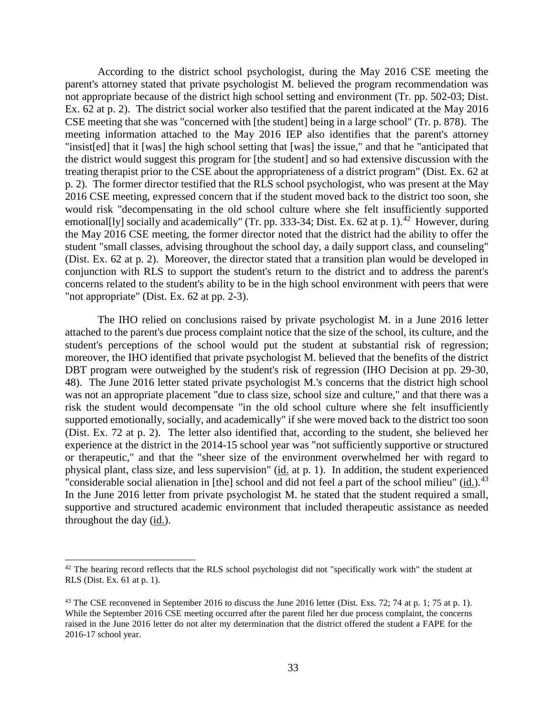According to the district school psychologist, during the May 2016 CSE meeting the parent's attorney stated that private psychologist M. believed the program recommendation was not appropriate because of the district high school setting and environment (Tr. pp. 502-03; Dist. Ex. 62 at p. 2). The district social worker also testified that the parent indicated at the May 2016 CSE meeting that she was "concerned with [the student] being in a large school" (Tr. p. 878). The meeting information attached to the May 2016 IEP also identifies that the parent's attorney "insist[ed] that it [was] the high school setting that [was] the issue," and that he "anticipated that the district would suggest this program for [the student] and so had extensive discussion with the treating therapist prior to the CSE about the appropriateness of a district program" (Dist. Ex. 62 at p. 2). The former director testified that the RLS school psychologist, who was present at the May 2016 CSE meeting, expressed concern that if the student moved back to the district too soon, she would risk "decompensating in the old school culture where she felt insufficiently supported emotional[ly] socially and academically" (Tr. pp. 333-34; Dist. Ex. 62 at p. 1).<sup>42</sup> However, during the May 2016 CSE meeting, the former director noted that the district had the ability to offer the student "small classes, advising throughout the school day, a daily support class, and counseling" (Dist. Ex. 62 at p. 2). Moreover, the director stated that a transition plan would be developed in conjunction with RLS to support the student's return to the district and to address the parent's concerns related to the student's ability to be in the high school environment with peers that were "not appropriate" (Dist. Ex. 62 at pp. 2-3).

The IHO relied on conclusions raised by private psychologist M. in a June 2016 letter attached to the parent's due process complaint notice that the size of the school, its culture, and the student's perceptions of the school would put the student at substantial risk of regression; moreover, the IHO identified that private psychologist M. believed that the benefits of the district DBT program were outweighed by the student's risk of regression (IHO Decision at pp. 29-30, 48). The June 2016 letter stated private psychologist M.'s concerns that the district high school was not an appropriate placement "due to class size, school size and culture," and that there was a risk the student would decompensate "in the old school culture where she felt insufficiently supported emotionally, socially, and academically" if she were moved back to the district too soon (Dist. Ex. 72 at p. 2). The letter also identified that, according to the student, she believed her experience at the district in the 2014-15 school year was "not sufficiently supportive or structured or therapeutic," and that the "sheer size of the environment overwhelmed her with regard to physical plant, class size, and less supervision" (id. at p. 1). In addition, the student experienced "considerable social alienation in [the] school and did not feel a part of the school milieu" (id.).<sup>43</sup> In the June 2016 letter from private psychologist M. he stated that the student required a small, supportive and structured academic environment that included therapeutic assistance as needed throughout the day (id.).

<sup>&</sup>lt;sup>42</sup> The hearing record reflects that the RLS school psychologist did not "specifically work with" the student at RLS (Dist. Ex. 61 at p. 1).

<sup>&</sup>lt;sup>43</sup> The CSE reconvened in September 2016 to discuss the June 2016 letter (Dist. Exs. 72; 74 at p. 1; 75 at p. 1). While the September 2016 CSE meeting occurred after the parent filed her due process complaint, the concerns raised in the June 2016 letter do not alter my determination that the district offered the student a FAPE for the 2016-17 school year.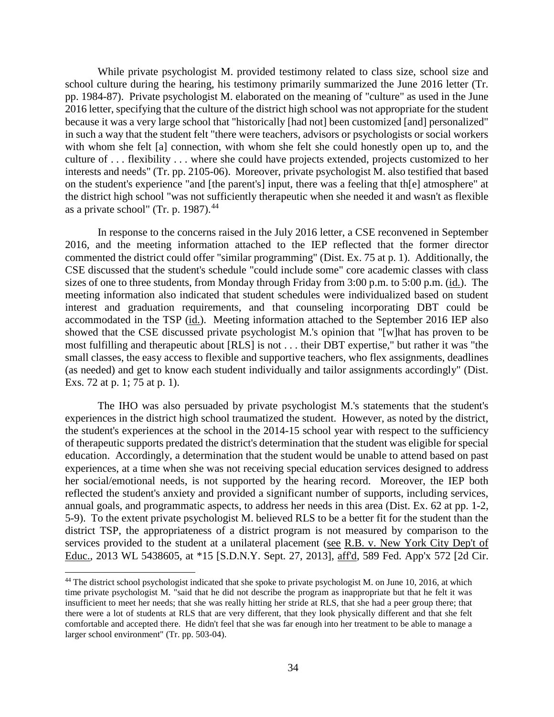While private psychologist M. provided testimony related to class size, school size and school culture during the hearing, his testimony primarily summarized the June 2016 letter (Tr. pp. 1984-87). Private psychologist M. elaborated on the meaning of "culture" as used in the June 2016 letter, specifying that the culture of the district high school was not appropriate for the student because it was a very large school that "historically [had not] been customized [and] personalized" in such a way that the student felt "there were teachers, advisors or psychologists or social workers with whom she felt [a] connection, with whom she felt she could honestly open up to, and the culture of . . . flexibility . . . where she could have projects extended, projects customized to her interests and needs" (Tr. pp. 2105-06). Moreover, private psychologist M. also testified that based on the student's experience "and [the parent's] input, there was a feeling that th[e] atmosphere" at the district high school "was not sufficiently therapeutic when she needed it and wasn't as flexible as a private school" (Tr. p. 1987). $44$ 

In response to the concerns raised in the July 2016 letter, a CSE reconvened in September 2016, and the meeting information attached to the IEP reflected that the former director commented the district could offer "similar programming" (Dist. Ex. 75 at p. 1). Additionally, the CSE discussed that the student's schedule "could include some" core academic classes with class sizes of one to three students, from Monday through Friday from 3:00 p.m. to 5:00 p.m. (id.). The meeting information also indicated that student schedules were individualized based on student interest and graduation requirements, and that counseling incorporating DBT could be accommodated in the TSP (id.). Meeting information attached to the September 2016 IEP also showed that the CSE discussed private psychologist M.'s opinion that "[w]hat has proven to be most fulfilling and therapeutic about [RLS] is not . . . their DBT expertise," but rather it was "the small classes, the easy access to flexible and supportive teachers, who flex assignments, deadlines (as needed) and get to know each student individually and tailor assignments accordingly" (Dist. Exs. 72 at p. 1; 75 at p. 1).

The IHO was also persuaded by private psychologist M.'s statements that the student's experiences in the district high school traumatized the student. However, as noted by the district, the student's experiences at the school in the 2014-15 school year with respect to the sufficiency of therapeutic supports predated the district's determination that the student was eligible for special education. Accordingly, a determination that the student would be unable to attend based on past experiences, at a time when she was not receiving special education services designed to address her social/emotional needs, is not supported by the hearing record. Moreover, the IEP both reflected the student's anxiety and provided a significant number of supports, including services, annual goals, and programmatic aspects, to address her needs in this area (Dist. Ex. 62 at pp. 1-2, 5-9). To the extent private psychologist M. believed RLS to be a better fit for the student than the district TSP, the appropriateness of a district program is not measured by comparison to the services provided to the student at a unilateral placement (see R.B. v. New York City Dep't of Educ., 2013 WL 5438605, at \*15 [S.D.N.Y. Sept. 27, 2013], aff'd, 589 Fed. App'x 572 [2d Cir.

<sup>&</sup>lt;sup>44</sup> The district school psychologist indicated that she spoke to private psychologist M. on June 10, 2016, at which time private psychologist M. "said that he did not describe the program as inappropriate but that he felt it was insufficient to meet her needs; that she was really hitting her stride at RLS, that she had a peer group there; that there were a lot of students at RLS that are very different, that they look physically different and that she felt comfortable and accepted there. He didn't feel that she was far enough into her treatment to be able to manage a larger school environment" (Tr. pp. 503-04).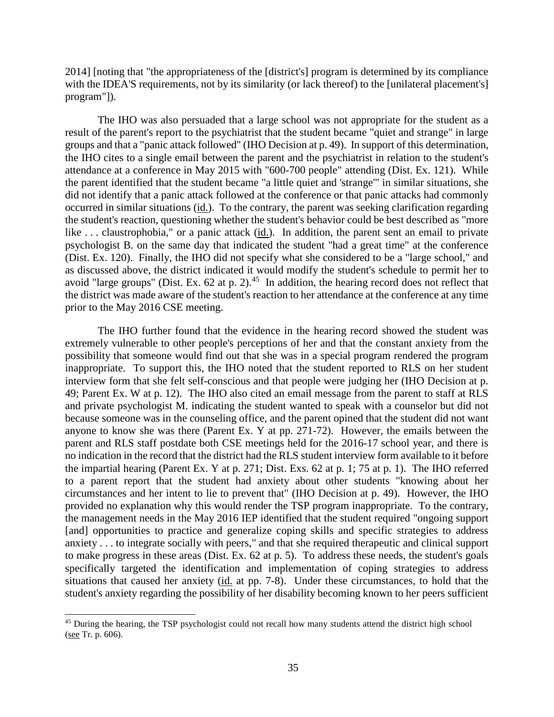2014] [noting that "the appropriateness of the [district's] program is determined by its compliance with the IDEA'S requirements, not by its similarity (or lack thereof) to the [unilateral placement's] program"]).

The IHO was also persuaded that a large school was not appropriate for the student as a result of the parent's report to the psychiatrist that the student became "quiet and strange" in large groups and that a "panic attack followed" (IHO Decision at p. 49). In support of this determination, the IHO cites to a single email between the parent and the psychiatrist in relation to the student's attendance at a conference in May 2015 with "600-700 people" attending (Dist. Ex. 121). While the parent identified that the student became "a little quiet and 'strange'" in similar situations, she did not identify that a panic attack followed at the conference or that panic attacks had commonly occurred in similar situations (id.). To the contrary, the parent was seeking clarification regarding the student's reaction, questioning whether the student's behavior could be best described as "more like ... claustrophobia," or a panic attack (id.). In addition, the parent sent an email to private psychologist B. on the same day that indicated the student "had a great time" at the conference (Dist. Ex. 120). Finally, the IHO did not specify what she considered to be a "large school," and as discussed above, the district indicated it would modify the student's schedule to permit her to avoid "large groups" (Dist. Ex. 62 at p. 2).<sup>45</sup> In addition, the hearing record does not reflect that the district was made aware of the student's reaction to her attendance at the conference at any time prior to the May 2016 CSE meeting.

The IHO further found that the evidence in the hearing record showed the student was extremely vulnerable to other people's perceptions of her and that the constant anxiety from the possibility that someone would find out that she was in a special program rendered the program inappropriate. To support this, the IHO noted that the student reported to RLS on her student interview form that she felt self-conscious and that people were judging her (IHO Decision at p. 49; Parent Ex. W at p. 12). The IHO also cited an email message from the parent to staff at RLS and private psychologist M. indicating the student wanted to speak with a counselor but did not because someone was in the counseling office, and the parent opined that the student did not want anyone to know she was there (Parent Ex. Y at pp. 271-72). However, the emails between the parent and RLS staff postdate both CSE meetings held for the 2016-17 school year, and there is no indication in the record that the district had the RLS student interview form available to it before the impartial hearing (Parent Ex. Y at p. 271; Dist. Exs. 62 at p. 1; 75 at p. 1). The IHO referred to a parent report that the student had anxiety about other students "knowing about her circumstances and her intent to lie to prevent that" (IHO Decision at p. 49). However, the IHO provided no explanation why this would render the TSP program inappropriate. To the contrary, the management needs in the May 2016 IEP identified that the student required "ongoing support [and] opportunities to practice and generalize coping skills and specific strategies to address anxiety . . . to integrate socially with peers," and that she required therapeutic and clinical support to make progress in these areas (Dist. Ex. 62 at p. 5). To address these needs, the student's goals specifically targeted the identification and implementation of coping strategies to address situations that caused her anxiety (id. at pp. 7-8). Under these circumstances, to hold that the student's anxiety regarding the possibility of her disability becoming known to her peers sufficient

<sup>&</sup>lt;sup>45</sup> During the hearing, the TSP psychologist could not recall how many students attend the district high school (see Tr. p. 606).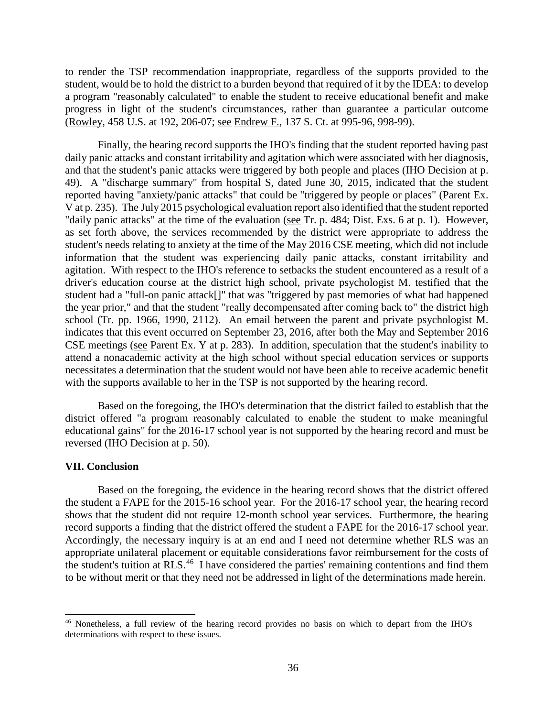to render the TSP recommendation inappropriate, regardless of the supports provided to the student, would be to hold the district to a burden beyond that required of it by the IDEA: to develop a program "reasonably calculated" to enable the student to receive educational benefit and make progress in light of the student's circumstances, rather than guarantee a particular outcome (Rowley, 458 U.S. at 192, 206-07; see Endrew F., 137 S. Ct. at 995-96, 998-99).

Finally, the hearing record supports the IHO's finding that the student reported having past daily panic attacks and constant irritability and agitation which were associated with her diagnosis, and that the student's panic attacks were triggered by both people and places (IHO Decision at p. 49). A "discharge summary" from hospital S, dated June 30, 2015, indicated that the student reported having "anxiety/panic attacks" that could be "triggered by people or places" (Parent Ex. V at p. 235). The July 2015 psychological evaluation report also identified that the student reported "daily panic attacks" at the time of the evaluation (see Tr. p. 484; Dist. Exs. 6 at p. 1). However, as set forth above, the services recommended by the district were appropriate to address the student's needs relating to anxiety at the time of the May 2016 CSE meeting, which did not include information that the student was experiencing daily panic attacks, constant irritability and agitation. With respect to the IHO's reference to setbacks the student encountered as a result of a driver's education course at the district high school, private psychologist M. testified that the student had a "full-on panic attack[]" that was "triggered by past memories of what had happened the year prior," and that the student "really decompensated after coming back to" the district high school (Tr. pp. 1966, 1990, 2112). An email between the parent and private psychologist M. indicates that this event occurred on September 23, 2016, after both the May and September 2016 CSE meetings (see Parent Ex. Y at p. 283). In addition, speculation that the student's inability to attend a nonacademic activity at the high school without special education services or supports necessitates a determination that the student would not have been able to receive academic benefit with the supports available to her in the TSP is not supported by the hearing record.

Based on the foregoing, the IHO's determination that the district failed to establish that the district offered "a program reasonably calculated to enable the student to make meaningful educational gains" for the 2016-17 school year is not supported by the hearing record and must be reversed (IHO Decision at p. 50).

#### **VII. Conclusion**

Based on the foregoing, the evidence in the hearing record shows that the district offered the student a FAPE for the 2015-16 school year. For the 2016-17 school year, the hearing record shows that the student did not require 12-month school year services. Furthermore, the hearing record supports a finding that the district offered the student a FAPE for the 2016-17 school year. Accordingly, the necessary inquiry is at an end and I need not determine whether RLS was an appropriate unilateral placement or equitable considerations favor reimbursement for the costs of the student's tuition at RLS.<sup>46</sup> I have considered the parties' remaining contentions and find them to be without merit or that they need not be addressed in light of the determinations made herein.

 <sup>46</sup> Nonetheless, a full review of the hearing record provides no basis on which to depart from the IHO's determinations with respect to these issues.